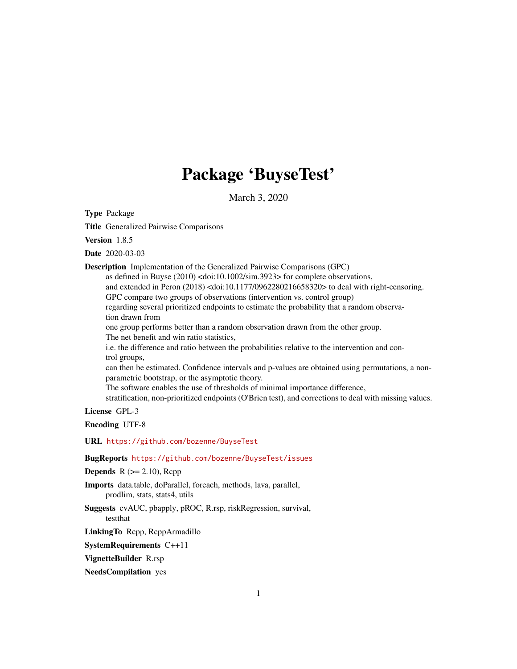# Package 'BuyseTest'

March 3, 2020

Type Package

Title Generalized Pairwise Comparisons

Version 1.8.5

Date 2020-03-03

Description Implementation of the Generalized Pairwise Comparisons (GPC)

as defined in Buyse (2010) <doi:10.1002/sim.3923> for complete observations,

and extended in Peron (2018) <doi:10.1177/0962280216658320> to deal with right-censoring.

GPC compare two groups of observations (intervention vs. control group)

regarding several prioritized endpoints to estimate the probability that a random observation drawn from

one group performs better than a random observation drawn from the other group.

The net benefit and win ratio statistics,

i.e. the difference and ratio between the probabilities relative to the intervention and control groups,

can then be estimated. Confidence intervals and p-values are obtained using permutations, a nonparametric bootstrap, or the asymptotic theory.

The software enables the use of thresholds of minimal importance difference,

stratification, non-prioritized endpoints (O'Brien test), and corrections to deal with missing values.

License GPL-3

Encoding UTF-8

URL <https://github.com/bozenne/BuyseTest>

BugReports <https://github.com/bozenne/BuyseTest/issues>

**Depends**  $R$  ( $>= 2.10$ ), Rcpp

Imports data.table, doParallel, foreach, methods, lava, parallel, prodlim, stats, stats4, utils

Suggests cvAUC, pbapply, pROC, R.rsp, riskRegression, survival, testthat

LinkingTo Rcpp, RcppArmadillo

SystemRequirements C++11

VignetteBuilder R.rsp

NeedsCompilation yes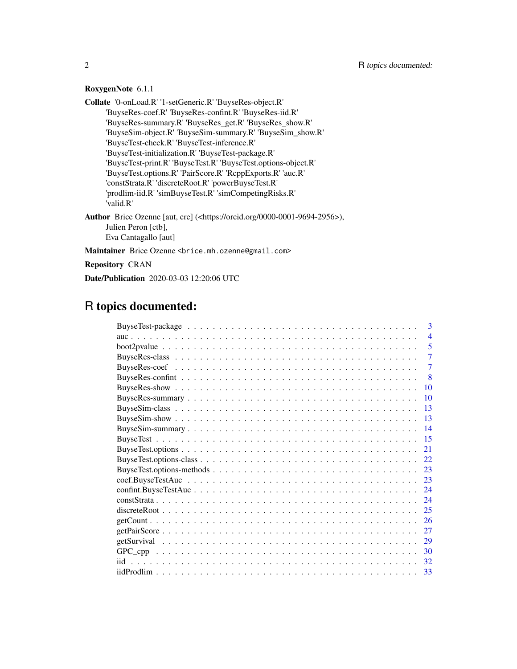## RoxygenNote 6.1.1

Collate '0-onLoad.R' '1-setGeneric.R' 'BuyseRes-object.R' 'BuyseRes-coef.R' 'BuyseRes-confint.R' 'BuyseRes-iid.R' 'BuyseRes-summary.R' 'BuyseRes\_get.R' 'BuyseRes\_show.R' 'BuyseSim-object.R' 'BuyseSim-summary.R' 'BuyseSim\_show.R' 'BuyseTest-check.R' 'BuyseTest-inference.R' 'BuyseTest-initialization.R' 'BuyseTest-package.R' 'BuyseTest-print.R' 'BuyseTest.R' 'BuyseTest.options-object.R' 'BuyseTest.options.R' 'PairScore.R' 'RcppExports.R' 'auc.R' 'constStrata.R' 'discreteRoot.R' 'powerBuyseTest.R' 'prodlim-iid.R' 'simBuyseTest.R' 'simCompetingRisks.R' 'valid.R' Author Brice Ozenne [aut, cre] (<https://orcid.org/0000-0001-9694-2956>), Julien Peron [ctb], Eva Cantagallo [aut]

Maintainer Brice Ozenne <br />brice.mh.ozenne@gmail.com>

Repository CRAN

Date/Publication 2020-03-03 12:20:06 UTC

## R topics documented:

| $\mathbf{3}$                                                                                                                      |
|-----------------------------------------------------------------------------------------------------------------------------------|
| $\overline{4}$                                                                                                                    |
| 5                                                                                                                                 |
| 7                                                                                                                                 |
| $\overline{7}$                                                                                                                    |
| -8                                                                                                                                |
| 10                                                                                                                                |
| 10                                                                                                                                |
| $\overline{13}$                                                                                                                   |
| $\overline{13}$                                                                                                                   |
| $\overline{14}$                                                                                                                   |
| -15                                                                                                                               |
| 21                                                                                                                                |
| 22.                                                                                                                               |
| 23                                                                                                                                |
| 23                                                                                                                                |
| 24                                                                                                                                |
| 24                                                                                                                                |
| $discrete Root \dots \dots \dots \dots \dots \dots \dots \dots \dots \dots \dots \dots \dots \dots \dots \dots \dots \dots$<br>25 |
| 26                                                                                                                                |
| 27                                                                                                                                |
| 29                                                                                                                                |
| 30                                                                                                                                |
| 32                                                                                                                                |
| 33                                                                                                                                |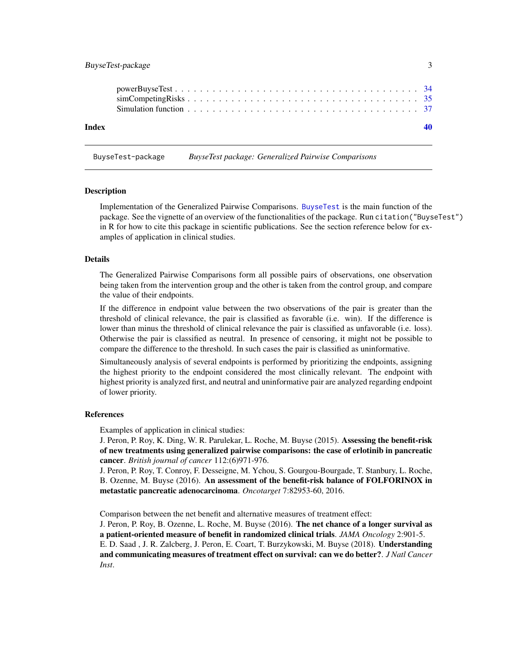## <span id="page-2-0"></span>BuyseTest-package 3

| Index |  |
|-------|--|
|       |  |

BuyseTest-package *BuyseTest package: Generalized Pairwise Comparisons*

#### Description

Implementation of the Generalized Pairwise Comparisons. [BuyseTest](#page-14-1) is the main function of the package. See the vignette of an overview of the functionalities of the package. Run citation("BuyseTest") in R for how to cite this package in scientific publications. See the section reference below for examples of application in clinical studies.

#### Details

The Generalized Pairwise Comparisons form all possible pairs of observations, one observation being taken from the intervention group and the other is taken from the control group, and compare the value of their endpoints.

If the difference in endpoint value between the two observations of the pair is greater than the threshold of clinical relevance, the pair is classified as favorable (i.e. win). If the difference is lower than minus the threshold of clinical relevance the pair is classified as unfavorable (i.e. loss). Otherwise the pair is classified as neutral. In presence of censoring, it might not be possible to compare the difference to the threshold. In such cases the pair is classified as uninformative.

Simultaneously analysis of several endpoints is performed by prioritizing the endpoints, assigning the highest priority to the endpoint considered the most clinically relevant. The endpoint with highest priority is analyzed first, and neutral and uninformative pair are analyzed regarding endpoint of lower priority.

#### References

Examples of application in clinical studies:

J. Peron, P. Roy, K. Ding, W. R. Parulekar, L. Roche, M. Buyse (2015). Assessing the benefit-risk of new treatments using generalized pairwise comparisons: the case of erlotinib in pancreatic cancer. *British journal of cancer* 112:(6)971-976.

J. Peron, P. Roy, T. Conroy, F. Desseigne, M. Ychou, S. Gourgou-Bourgade, T. Stanbury, L. Roche, B. Ozenne, M. Buyse (2016). An assessment of the benefit-risk balance of FOLFORINOX in metastatic pancreatic adenocarcinoma. *Oncotarget* 7:82953-60, 2016.

Comparison between the net benefit and alternative measures of treatment effect:

J. Peron, P. Roy, B. Ozenne, L. Roche, M. Buyse (2016). The net chance of a longer survival as a patient-oriented measure of benefit in randomized clinical trials. *JAMA Oncology* 2:901-5. E. D. Saad, J. R. Zalcberg, J. Peron, E. Coart, T. Burzykowski, M. Buyse (2018). Understanding and communicating measures of treatment effect on survival: can we do better?. *J Natl Cancer Inst*.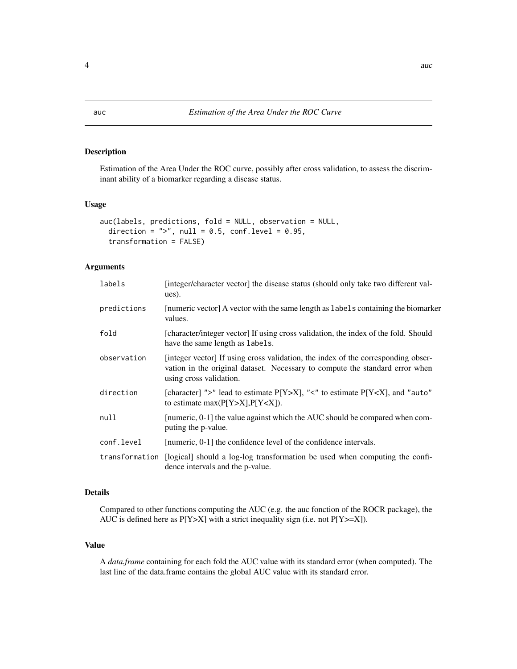### Description

Estimation of the Area Under the ROC curve, possibly after cross validation, to assess the discriminant ability of a biomarker regarding a disease status.

## Usage

```
auc(labels, predictions, fold = NULL, observation = NULL,
 direction = ">", null = 0.5, conf.level = 0.95,
  transformation = FALSE)
```
#### Arguments

| labels      | [integer/character vector] the disease status (should only take two different val-<br>ues).                                                                                                  |
|-------------|----------------------------------------------------------------------------------------------------------------------------------------------------------------------------------------------|
| predictions | [numeric vector] A vector with the same length as labels containing the biomarker<br>values.                                                                                                 |
| fold        | [character/integer vector] If using cross validation, the index of the fold. Should<br>have the same length as labels.                                                                       |
| observation | [integer vector] If using cross validation, the index of the corresponding obser-<br>vation in the original dataset. Necessary to compute the standard error when<br>using cross validation. |
| direction   | [character] ">" lead to estimate $P[Y>X]$ , "<" to estimate $P[Y, and "auto"to estimate max(P[Y>X], P[Y.$                                                                                    |
| null        | [numeric, 0-1] the value against which the AUC should be compared when com-<br>puting the p-value.                                                                                           |
| conf.level  | [numeric, 0-1] the confidence level of the confidence intervals.                                                                                                                             |
|             | transformation [logical] should a log-log transformation be used when computing the confi-<br>dence intervals and the p-value.                                                               |

## Details

Compared to other functions computing the AUC (e.g. the auc fonction of the ROCR package), the AUC is defined here as  $P[Y > X]$  with a strict inequality sign (i.e. not  $P[Y > = X]$ ).

## Value

A *data.frame* containing for each fold the AUC value with its standard error (when computed). The last line of the data.frame contains the global AUC value with its standard error.

<span id="page-3-0"></span>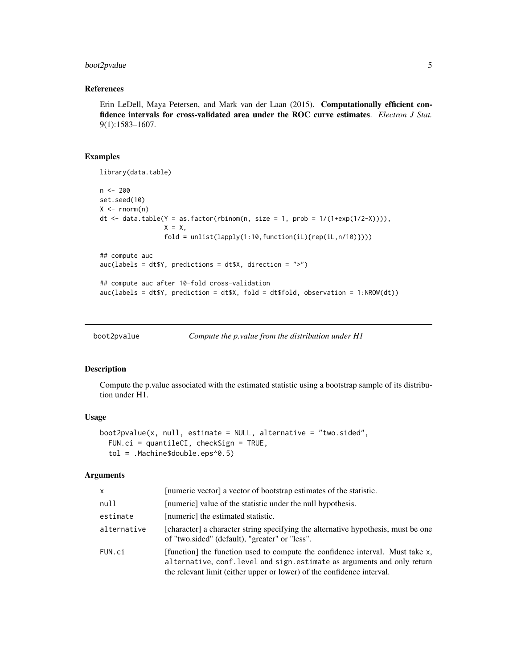## <span id="page-4-0"></span>boot2pvalue 5

## References

Erin LeDell, Maya Petersen, and Mark van der Laan (2015). Computationally efficient confidence intervals for cross-validated area under the ROC curve estimates. *Electron J Stat.* 9(1):1583–1607.

#### Examples

```
library(data.table)
n < - 200set.seed(10)
X \leftarrow \text{norm}(n)dt <- data.table(Y = as.factor(rbinom(n, size = 1, prob = 1/(1+exp(1/2-X)))),
                 X = X,
                 fold = unlist(lapply(1:10,function(iL){rep(iL,n/10)})))
## compute auc
auc(labels = dt$Y, predictions = dt$X, direction = ">")
## compute auc after 10-fold cross-validation
auc(labels = dt$Y, prediction = dt$X, fold = dt$fold, observation = 1:NROW(dt))
```
boot2pvalue *Compute the p.value from the distribution under H1*

#### Description

Compute the p.value associated with the estimated statistic using a bootstrap sample of its distribution under H1.

## Usage

```
boot2pvalue(x, null, estimate = NULL, alternative = "two.sided",
  FUN.ci = quantileCI, checkSign = TRUE,
  tol = .Machine$double.eps^0.5)
```

| <b>X</b>    | [numeric vector] a vector of bootstrap estimates of the statistic.                                                                                                                                                                  |
|-------------|-------------------------------------------------------------------------------------------------------------------------------------------------------------------------------------------------------------------------------------|
| null        | [numeric] value of the statistic under the null hypothesis.                                                                                                                                                                         |
| estimate    | [numeric] the estimated statistic.                                                                                                                                                                                                  |
| alternative | [character] a character string specifying the alternative hypothesis, must be one<br>of "two.sided" (default), "greater" or "less".                                                                                                 |
| FUN.ci      | [function] the function used to compute the confidence interval. Must take x,<br>alternative, conf. level and sign. estimate as arguments and only return<br>the relevant limit (either upper or lower) of the confidence interval. |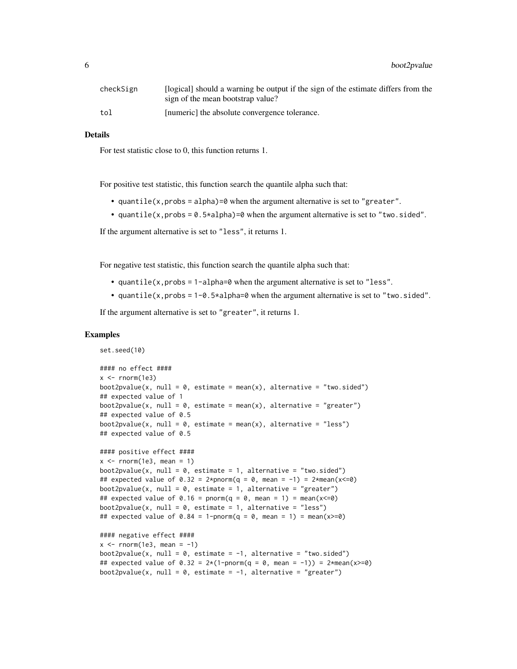| checkSign | [logical] should a warning be output if the sign of the estimate differs from the |
|-----------|-----------------------------------------------------------------------------------|
|           | sign of the mean bootstrap value?                                                 |
| tol       | [numeric] the absolute convergence tolerance.                                     |

#### Details

For test statistic close to 0, this function returns 1.

For positive test statistic, this function search the quantile alpha such that:

- quantile(x, probs = alpha)=0 when the argument alternative is set to "greater".
- quantile(x, probs =  $0.5 \star$ alpha)=0 when the argument alternative is set to "two.sided".

If the argument alternative is set to "less", it returns 1.

For negative test statistic, this function search the quantile alpha such that:

- quantile(x,probs = 1-alpha=0 when the argument alternative is set to "less".
- quantile(x,probs =  $1-\theta$ .5\*alpha=0 when the argument alternative is set to "two.sided".

If the argument alternative is set to "greater", it returns 1.

## Examples

set.seed(10)

```
#### no effect ####
x < - rnorm(1e3)
boot2pvalue(x, null = 0, estimate = mean(x), alternative = "two.sided")
## expected value of 1
boot2pvalue(x, null = 0, estimate = mean(x), alternative = "greater")
## expected value of 0.5
boot2pvalue(x, null = 0, estimate = mean(x), alternative = "less")
## expected value of 0.5
#### positive effect ####
x \le - rnorm(1e3, mean = 1)
boot2pvalue(x, null = 0, estimate = 1, alternative = "two.sided")
## expected value of 0.32 = 2*<i>pmorm</i>(q = 0, <i>mean</i> = -1) = 2*<i>mean</i>(x < = 0)boot2pvalue(x, null = 0, estimate = 1, alternative = "greater")
## expected value of 0.16 = pnorm(q = 0, mean = 1) = mean(x <= 0)
boot2pvalue(x, null = 0, estimate = 1, alternative = "less")
## expected value of 0.84 = 1-pnorm(q = 0, mean = 1) = mean(x>=0)
#### negative effect ####
x \le - rnorm(1e3, mean = -1)
boot2pvalue(x, null = 0, estimate = -1, alternative = "two.sided")
## expected value of 0.32 = 2*(1-pnorm(q = 0, mean = -1)) = 2*mean(x>=0)
```
boot2pvalue(x, null =  $0$ , estimate =  $-1$ , alternative = "greater")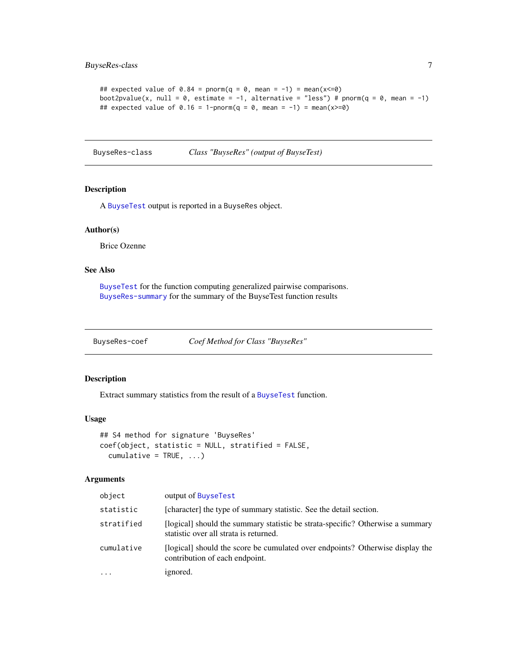```
## expected value of 0.84 = pnorm(q = 0, mean = -1) = mean(x \le 0)boot2pvalue(x, null = 0, estimate = -1, alternative = "less") # pnorm(q = 0, mean = -1)
## expected value of 0.16 = 1-pnorm(q = 0, mean = -1) = mean(x>=0)
```
<span id="page-6-1"></span>BuyseRes-class *Class "BuyseRes" (output of BuyseTest)*

#### <span id="page-6-2"></span>Description

A [BuyseTest](#page-14-1) output is reported in a BuyseRes object.

#### Author(s)

Brice Ozenne

## See Also

[BuyseTest](#page-14-1) for the function computing generalized pairwise comparisons. [BuyseRes-summary](#page-9-1) for the summary of the BuyseTest function results

BuyseRes-coef *Coef Method for Class "BuyseRes"*

#### Description

Extract summary statistics from the result of a [BuyseTest](#page-14-1) function.

## Usage

```
## S4 method for signature 'BuyseRes'
coef(object, statistic = NULL, stratified = FALSE,
  cumulative = TRUE, ...
```

| object     | output of BuyseTest                                                                                                      |
|------------|--------------------------------------------------------------------------------------------------------------------------|
| statistic  | [character] the type of summary statistic. See the detail section.                                                       |
| stratified | [logical] should the summary statistic be strata-specific? Otherwise a summary<br>statistic over all strata is returned. |
| cumulative | [logical] should the score be cumulated over endpoints? Otherwise display the<br>contribution of each endpoint.          |
| $\cdots$   | ignored.                                                                                                                 |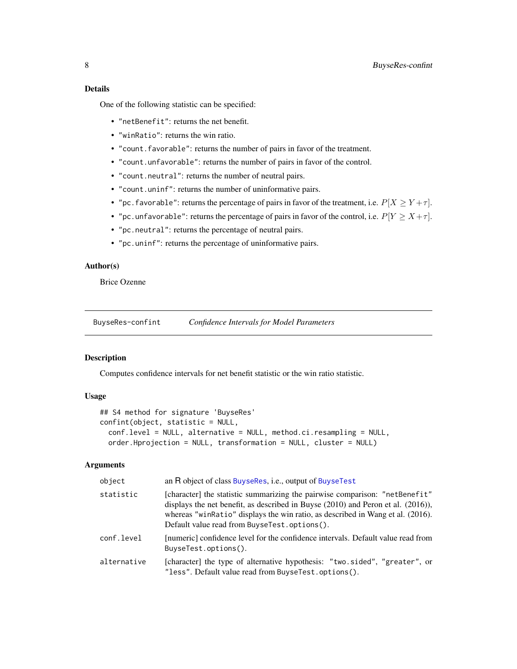<span id="page-7-0"></span>One of the following statistic can be specified:

- "netBenefit": returns the net benefit.
- "winRatio": returns the win ratio.
- "count.favorable": returns the number of pairs in favor of the treatment.
- "count.unfavorable": returns the number of pairs in favor of the control.
- "count.neutral": returns the number of neutral pairs.
- "count.uninf": returns the number of uninformative pairs.
- "pc. favorable": returns the percentage of pairs in favor of the treatment, i.e.  $P[X \ge Y + \tau]$ .
- "pc.unfavorable": returns the percentage of pairs in favor of the control, i.e.  $P[Y \ge X + \tau]$ .
- "pc.neutral": returns the percentage of neutral pairs.
- "pc.uninf": returns the percentage of uninformative pairs.

## Author(s)

Brice Ozenne

<span id="page-7-1"></span>BuyseRes-confint *Confidence Intervals for Model Parameters*

## **Description**

Computes confidence intervals for net benefit statistic or the win ratio statistic.

#### Usage

```
## S4 method for signature 'BuyseRes'
confint(object, statistic = NULL,
  conf.level = NULL, alternative = NULL, method.ci.resampling = NULL,
  order.Hprojection = NULL, transformation = NULL, cluster = NULL)
```

| object      | an R object of class BuyseRes, i.e., output of BuyseTest                                                                                                                                                                                                                                               |
|-------------|--------------------------------------------------------------------------------------------------------------------------------------------------------------------------------------------------------------------------------------------------------------------------------------------------------|
| statistic   | [character] the statistic summarizing the pairwise comparison: "netBenefit"<br>displays the net benefit, as described in Buyse $(2010)$ and Peron et al. $(2016)$ ),<br>whereas "winRatio" displays the win ratio, as described in Wang et al. (2016).<br>Default value read from BuyseTest.options(). |
| conf.level  | [numeric] confidence level for the confidence intervals. Default value read from<br>BuyseTest.options().                                                                                                                                                                                               |
| alternative | [character] the type of alternative hypothesis: "two.sided", "greater", or<br>"less". Default value read from BuyseTest.options().                                                                                                                                                                     |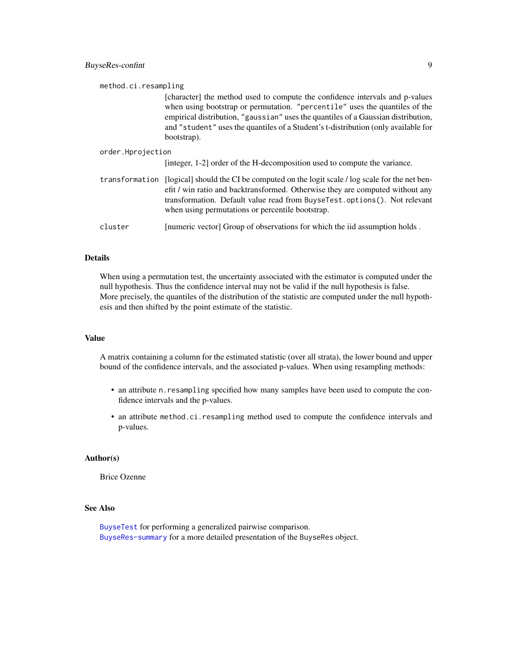| method.ci.resampling                                                                                                                                                                                                                                                                                                                                  |  |  |
|-------------------------------------------------------------------------------------------------------------------------------------------------------------------------------------------------------------------------------------------------------------------------------------------------------------------------------------------------------|--|--|
| [character] the method used to compute the confidence intervals and p-values<br>when using bootstrap or permutation. "percentile" uses the quantiles of the<br>empirical distribution, "gaussian" uses the quantiles of a Gaussian distribution,<br>and "student" uses the quantiles of a Student's t-distribution (only available for<br>bootstrap). |  |  |
| order.Hprojection                                                                                                                                                                                                                                                                                                                                     |  |  |
| [integer, 1-2] order of the H-decomposition used to compute the variance.                                                                                                                                                                                                                                                                             |  |  |
| transformation [logical] should the CI be computed on the logit scale / log scale for the net ben-<br>efit / win ratio and backtransformed. Otherwise they are computed without any<br>transformation. Default value read from BuyseTest.options(). Not relevant<br>when using permutations or percentile bootstrap.                                  |  |  |
| [numeric vector] Group of observations for which the iid assumption holds.                                                                                                                                                                                                                                                                            |  |  |
|                                                                                                                                                                                                                                                                                                                                                       |  |  |

## Details

When using a permutation test, the uncertainty associated with the estimator is computed under the null hypothesis. Thus the confidence interval may not be valid if the null hypothesis is false. More precisely, the quantiles of the distribution of the statistic are computed under the null hypothesis and then shifted by the point estimate of the statistic.

#### Value

A matrix containing a column for the estimated statistic (over all strata), the lower bound and upper bound of the confidence intervals, and the associated p-values. When using resampling methods:

- an attribute n.resampling specified how many samples have been used to compute the confidence intervals and the p-values.
- an attribute method.ci.resampling method used to compute the confidence intervals and p-values.

#### Author(s)

Brice Ozenne

#### See Also

[BuyseTest](#page-14-1) for performing a generalized pairwise comparison. [BuyseRes-summary](#page-9-1) for a more detailed presentation of the BuyseRes object.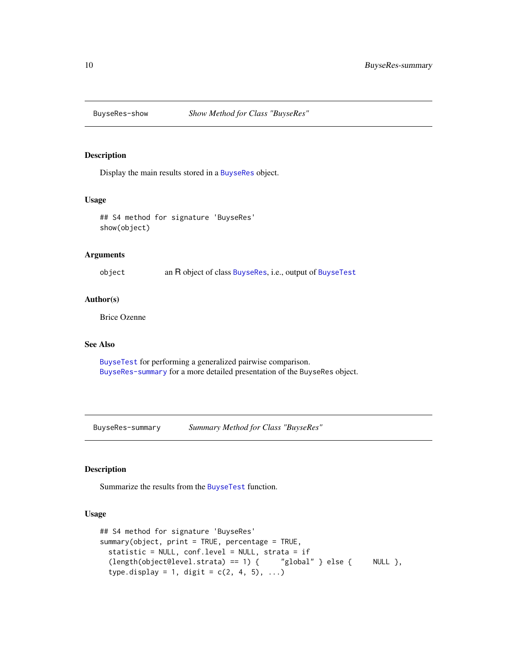<span id="page-9-0"></span>

## Description

Display the main results stored in a [BuyseRes](#page-6-2) object.

#### Usage

```
## S4 method for signature 'BuyseRes'
show(object)
```
## Arguments

object an R object of class [BuyseRes](#page-6-1), i.e., output of [BuyseTest](#page-14-1)

## Author(s)

Brice Ozenne

## See Also

[BuyseTest](#page-14-1) for performing a generalized pairwise comparison. [BuyseRes-summary](#page-9-1) for a more detailed presentation of the BuyseRes object.

<span id="page-9-1"></span>BuyseRes-summary *Summary Method for Class "BuyseRes"*

## Description

Summarize the results from the [BuyseTest](#page-14-1) function.

#### Usage

```
## S4 method for signature 'BuyseRes'
summary(object, print = TRUE, percentage = TRUE,
 statistic = NULL, conf.level = NULL, strata = if
 (length(object@level.strata) == 1) { "global" } else { NULL },
  type.display = 1, digit = c(2, 4, 5), ...)
```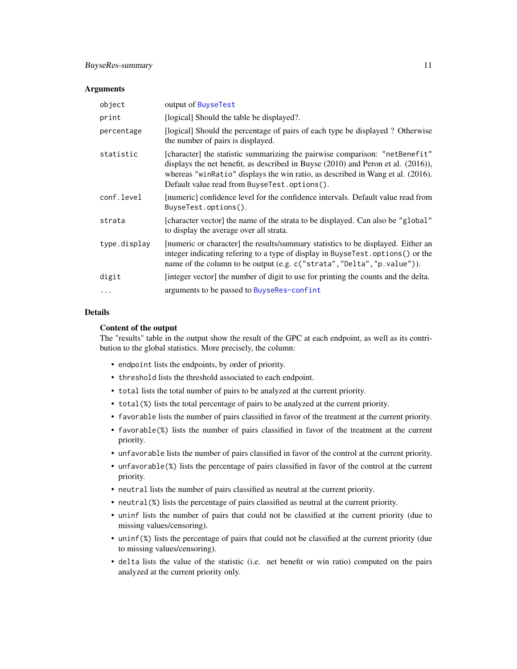#### <span id="page-10-0"></span>Arguments

| object       | output of BuyseTest                                                                                                                                                                                                                                                                                    |
|--------------|--------------------------------------------------------------------------------------------------------------------------------------------------------------------------------------------------------------------------------------------------------------------------------------------------------|
| print        | [logical] Should the table be displayed?.                                                                                                                                                                                                                                                              |
| percentage   | [logical] Should the percentage of pairs of each type be displayed? Otherwise<br>the number of pairs is displayed.                                                                                                                                                                                     |
| statistic    | [character] the statistic summarizing the pairwise comparison: "netBenefit"<br>displays the net benefit, as described in Buyse $(2010)$ and Peron et al. $(2016)$ ),<br>whereas "winRatio" displays the win ratio, as described in Wang et al. (2016).<br>Default value read from BuyseTest.options(). |
| conf.level   | [numeric] confidence level for the confidence intervals. Default value read from<br>BuyseTest.options().                                                                                                                                                                                               |
| strata       | [character vector] the name of the strata to be displayed. Can also be "global"<br>to display the average over all strata.                                                                                                                                                                             |
| type.display | [numeric or character] the results/summary statistics to be displayed. Either an<br>integer indicating refering to a type of display in BuyseTest.options() or the<br>name of the column to be output (e.g. c("strata", "Delta", "p. value")).                                                         |
| digit        | [integer vector] the number of digit to use for printing the counts and the delta.                                                                                                                                                                                                                     |
| $\cdots$     | arguments to be passed to BuyseRes-confint                                                                                                                                                                                                                                                             |

#### Details

#### Content of the output

The "results" table in the output show the result of the GPC at each endpoint, as well as its contribution to the global statistics. More precisely, the column:

- endpoint lists the endpoints, by order of priority.
- threshold lists the threshold associated to each endpoint.
- total lists the total number of pairs to be analyzed at the current priority.
- total(%) lists the total percentage of pairs to be analyzed at the current priority.
- favorable lists the number of pairs classified in favor of the treatment at the current priority.
- favorable(%) lists the number of pairs classified in favor of the treatment at the current priority.
- unfavorable lists the number of pairs classified in favor of the control at the current priority.
- unfavorable(%) lists the percentage of pairs classified in favor of the control at the current priority.
- neutral lists the number of pairs classified as neutral at the current priority.
- neutral(%) lists the percentage of pairs classified as neutral at the current priority.
- uninf lists the number of pairs that could not be classified at the current priority (due to missing values/censoring).
- uninf(%) lists the percentage of pairs that could not be classified at the current priority (due to missing values/censoring).
- delta lists the value of the statistic (i.e. net benefit or win ratio) computed on the pairs analyzed at the current priority only.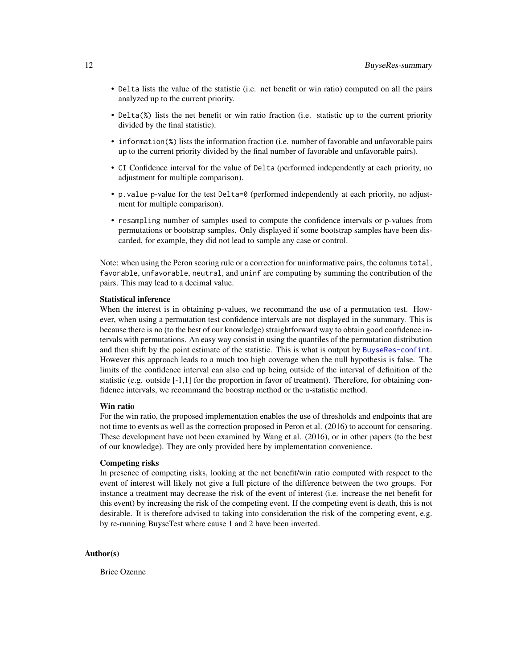- Delta lists the value of the statistic (i.e. net benefit or win ratio) computed on all the pairs analyzed up to the current priority.
- Delta(%) lists the net benefit or win ratio fraction (i.e. statistic up to the current priority divided by the final statistic).
- information(%) lists the information fraction (i.e. number of favorable and unfavorable pairs up to the current priority divided by the final number of favorable and unfavorable pairs).
- CI Confidence interval for the value of Delta (performed independently at each priority, no adjustment for multiple comparison).
- p.value p-value for the test Delta=0 (performed independently at each priority, no adjustment for multiple comparison).
- resampling number of samples used to compute the confidence intervals or p-values from permutations or bootstrap samples. Only displayed if some bootstrap samples have been discarded, for example, they did not lead to sample any case or control.

Note: when using the Peron scoring rule or a correction for uninformative pairs, the columns total, favorable, unfavorable, neutral, and uninf are computing by summing the contribution of the pairs. This may lead to a decimal value.

#### Statistical inference

When the interest is in obtaining p-values, we recommand the use of a permutation test. However, when using a permutation test confidence intervals are not displayed in the summary. This is because there is no (to the best of our knowledge) straightforward way to obtain good confidence intervals with permutations. An easy way consist in using the quantiles of the permutation distribution and then shift by the point estimate of the statistic. This is what is output by [BuyseRes-confint](#page-7-1). However this approach leads to a much too high coverage when the null hypothesis is false. The limits of the confidence interval can also end up being outside of the interval of definition of the statistic (e.g. outside [-1,1] for the proportion in favor of treatment). Therefore, for obtaining confidence intervals, we recommand the boostrap method or the u-statistic method.

## Win ratio

For the win ratio, the proposed implementation enables the use of thresholds and endpoints that are not time to events as well as the correction proposed in Peron et al. (2016) to account for censoring. These development have not been examined by Wang et al. (2016), or in other papers (to the best of our knowledge). They are only provided here by implementation convenience.

#### Competing risks

In presence of competing risks, looking at the net benefit/win ratio computed with respect to the event of interest will likely not give a full picture of the difference between the two groups. For instance a treatment may decrease the risk of the event of interest (i.e. increase the net benefit for this event) by increasing the risk of the competing event. If the competing event is death, this is not desirable. It is therefore advised to taking into consideration the risk of the competing event, e.g. by re-running BuyseTest where cause 1 and 2 have been inverted.

## Author(s)

Brice Ozenne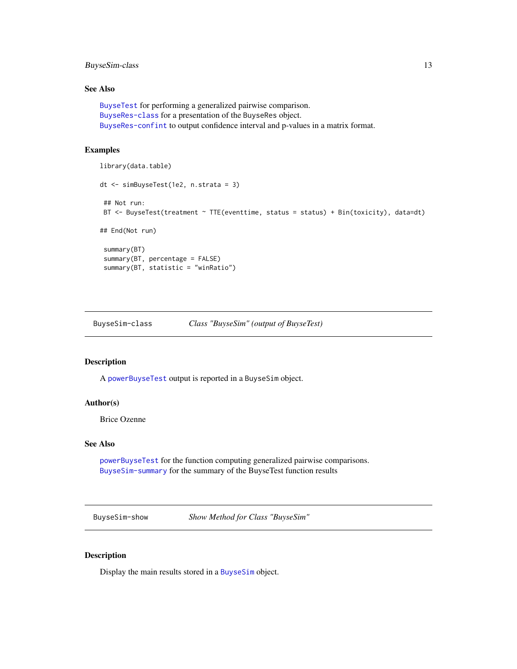## <span id="page-12-0"></span>BuyseSim-class 13

## See Also

```
BuyseTest for performing a generalized pairwise comparison.
BuyseRes-class for a presentation of the BuyseRes object.
BuyseRes-confint to output confidence interval and p-values in a matrix format.
```
## Examples

```
library(data.table)
dt <- simBuyseTest(1e2, n.strata = 3)
## Not run:
BT <- BuyseTest(treatment ~ TTE(eventtime, status = status) + Bin(toxicity), data=dt)
## End(Not run)
 summary(BT)
 summary(BT, percentage = FALSE)
 summary(BT, statistic = "winRatio")
```
<span id="page-12-2"></span>BuyseSim-class *Class "BuyseSim" (output of BuyseTest)*

#### <span id="page-12-1"></span>Description

A [powerBuyseTest](#page-33-1) output is reported in a BuyseSim object.

#### Author(s)

Brice Ozenne

#### See Also

[powerBuyseTest](#page-33-1) for the function computing generalized pairwise comparisons. [BuyseSim-summary](#page-13-1) for the summary of the BuyseTest function results

BuyseSim-show *Show Method for Class "BuyseSim"*

#### Description

Display the main results stored in a [BuyseSim](#page-12-1) object.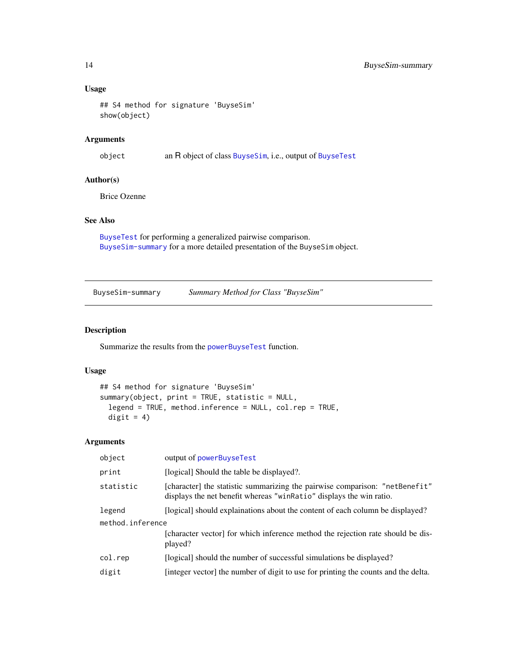## Usage

```
## S4 method for signature 'BuyseSim'
show(object)
```
## Arguments

object an R object of class [BuyseSim](#page-12-2), i.e., output of [BuyseTest](#page-14-1)

## Author(s)

Brice Ozenne

## See Also

[BuyseTest](#page-14-1) for performing a generalized pairwise comparison. [BuyseSim-summary](#page-13-1) for a more detailed presentation of the BuyseSim object.

<span id="page-13-1"></span>BuyseSim-summary *Summary Method for Class "BuyseSim"*

## Description

Summarize the results from the [powerBuyseTest](#page-33-1) function.

#### Usage

```
## S4 method for signature 'BuyseSim'
summary(object, print = TRUE, statistic = NULL,
 legend = TRUE, method.inference = NULL, col.rep = TRUE,
 digit = 4)
```

| object           | output of powerBuyseTest                                                                                                                           |  |
|------------------|----------------------------------------------------------------------------------------------------------------------------------------------------|--|
| print            | [logical] Should the table be displayed?.                                                                                                          |  |
| statistic        | [character] the statistic summarizing the pairwise comparison: "netBenefit"<br>displays the net benefit whereas "winRatio" displays the win ratio. |  |
| legend           | [logical] should explainations about the content of each column be displayed?                                                                      |  |
| method.inference |                                                                                                                                                    |  |
|                  | [character vector] for which inference method the rejection rate should be dis-<br>played?                                                         |  |
| col.rep          | [logical] should the number of successful simulations be displayed?                                                                                |  |
| digit            | [integer vector] the number of digit to use for printing the counts and the delta.                                                                 |  |

<span id="page-13-0"></span>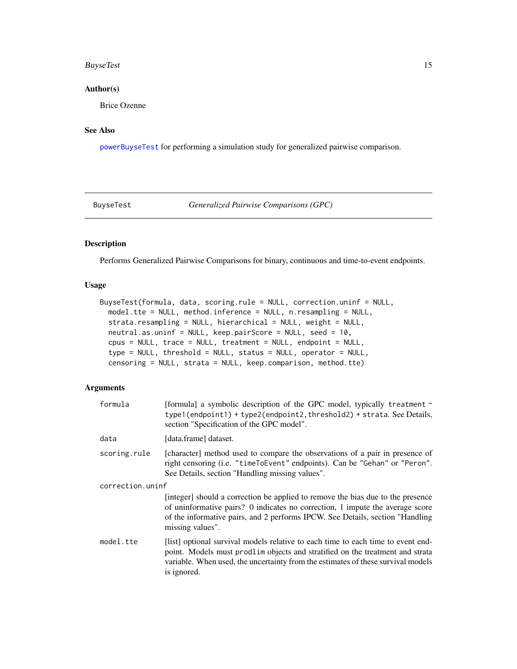## <span id="page-14-0"></span>BuyseTest 15

## Author(s)

Brice Ozenne

## See Also

[powerBuyseTest](#page-33-1) for performing a simulation study for generalized pairwise comparison.

<span id="page-14-1"></span>BuyseTest *Generalized Pairwise Comparisons (GPC)*

## Description

Performs Generalized Pairwise Comparisons for binary, continuous and time-to-event endpoints.

#### Usage

```
BuyseTest(formula, data, scoring.rule = NULL, correction.uninf = NULL,
 model.tte = NULL, method.inference = NULL, n.resampling = NULL,
  strata.resampling = NULL, hierarchical = NULL, weight = NULL,
 neutral.as.uninf = NULL, keep.pairScore = NULL, seed = 10,
  cpus = NULL, trace = NULL, treatment = NULL, endpoint = NULL,
  type = NULL, threshold = NULL, status = NULL, operator = NULL,
  censoring = NULL, strata = NULL, keep.comparison, method.tte)
```

| formula          | [formula] a symbolic description of the GPC model, typically treatment ~<br>type1(endpoint1) + type2(endpoint2, threshold2) + strata. See Details,<br>section "Specification of the GPC model".                                                                        |
|------------------|------------------------------------------------------------------------------------------------------------------------------------------------------------------------------------------------------------------------------------------------------------------------|
| data             | [data.frame] dataset.                                                                                                                                                                                                                                                  |
| scoring.rule     | [character] method used to compare the observations of a pair in presence of<br>right censoring (i.e. "timeToEvent" endpoints). Can be "Gehan" or "Peron".<br>See Details, section "Handling missing values".                                                          |
| correction.uninf |                                                                                                                                                                                                                                                                        |
|                  | [integer] should a correction be applied to remove the bias due to the presence<br>of uninformative pairs? 0 indicates no correction, 1 impute the average score<br>of the informative pairs, and 2 performs IPCW. See Details, section "Handling"<br>missing values". |
| model.tte        | [list] optional survival models relative to each time to each time to event end-<br>point. Models must prodlim objects and stratified on the treatment and strata<br>variable. When used, the uncertainty from the estimates of these survival models<br>is ignored.   |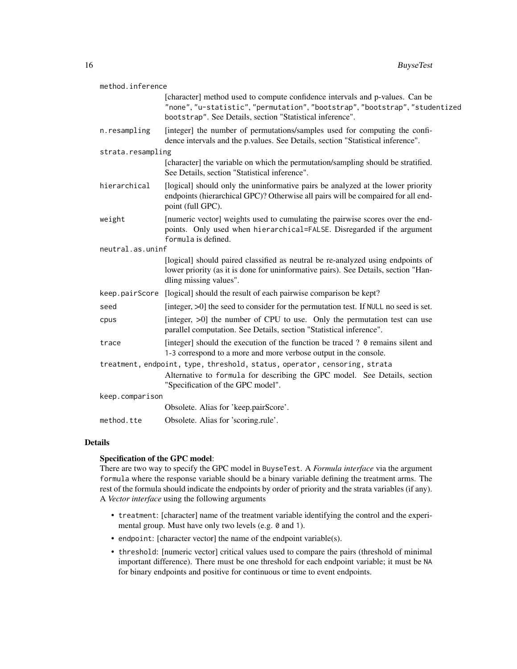| method.inference                                                          |                                                                                                                                                                                                                           |  |
|---------------------------------------------------------------------------|---------------------------------------------------------------------------------------------------------------------------------------------------------------------------------------------------------------------------|--|
|                                                                           | [character] method used to compute confidence intervals and p-values. Can be<br>"none", "u-statistic", "permutation", "bootstrap", "bootstrap", "studentized<br>bootstrap". See Details, section "Statistical inference". |  |
| n.resampling                                                              | [integer] the number of permutations/samples used for computing the confi-<br>dence intervals and the p.values. See Details, section "Statistical inference".                                                             |  |
| strata.resampling                                                         |                                                                                                                                                                                                                           |  |
|                                                                           | [character] the variable on which the permutation/sampling should be stratified.<br>See Details, section "Statistical inference".                                                                                         |  |
| hierarchical                                                              | [logical] should only the uninformative pairs be analyzed at the lower priority<br>endpoints (hierarchical GPC)? Otherwise all pairs will be compaired for all end-<br>point (full GPC).                                  |  |
| weight                                                                    | [numeric vector] weights used to cumulating the pairwise scores over the end-<br>points. Only used when hierarchical=FALSE. Disregarded if the argument<br>formula is defined.                                            |  |
| neutral.as.uninf                                                          |                                                                                                                                                                                                                           |  |
|                                                                           | [logical] should paired classified as neutral be re-analyzed using endpoints of<br>lower priority (as it is done for uninformative pairs). See Details, section "Han-<br>dling missing values".                           |  |
| keep.pairScore                                                            | [logical] should the result of each pairwise comparison be kept?                                                                                                                                                          |  |
| seed                                                                      | [integer, >0] the seed to consider for the permutation test. If NULL no seed is set.                                                                                                                                      |  |
| cpus                                                                      | [integer, >0] the number of CPU to use. Only the permutation test can use<br>parallel computation. See Details, section "Statistical inference".                                                                          |  |
| trace                                                                     | [integer] should the execution of the function be traced ? 0 remains silent and<br>1-3 correspond to a more and more verbose output in the console.                                                                       |  |
| treatment, endpoint, type, threshold, status, operator, censoring, strata |                                                                                                                                                                                                                           |  |
|                                                                           | Alternative to formula for describing the GPC model. See Details, section<br>"Specification of the GPC model".                                                                                                            |  |
| keep.comparison                                                           |                                                                                                                                                                                                                           |  |
|                                                                           | Obsolete. Alias for 'keep.pairScore'.                                                                                                                                                                                     |  |
| method.tte                                                                | Obsolete. Alias for 'scoring.rule'.                                                                                                                                                                                       |  |

#### Details

#### Specification of the GPC model:

There are two way to specify the GPC model in BuyseTest. A *Formula interface* via the argument formula where the response variable should be a binary variable defining the treatment arms. The rest of the formula should indicate the endpoints by order of priority and the strata variables (if any). A *Vector interface* using the following arguments

- treatment: [character] name of the treatment variable identifying the control and the experimental group. Must have only two levels (e.g. 0 and 1).
- endpoint: [character vector] the name of the endpoint variable(s).
- threshold: [numeric vector] critical values used to compare the pairs (threshold of minimal important difference). There must be one threshold for each endpoint variable; it must be NA for binary endpoints and positive for continuous or time to event endpoints.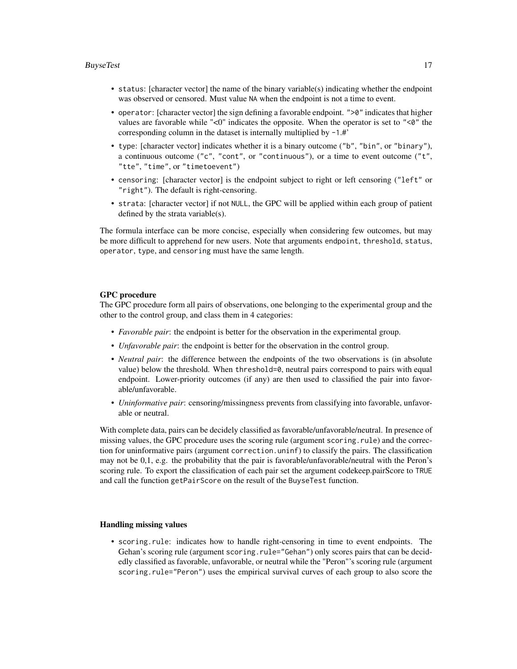#### **BuyseTest** 17

- status: [character vector] the name of the binary variable(s) indicating whether the endpoint was observed or censored. Must value NA when the endpoint is not a time to event.
- operator: [character vector] the sign defining a favorable endpoint. " $>0$ " indicates that higher values are favorable while "<0" indicates the opposite. When the operator is set to " $\leq 0$ " the corresponding column in the dataset is internally multiplied by -1.#'
- type: [character vector] indicates whether it is a binary outcome ("b", "bin", or "binary"), a continuous outcome ( $"c", "cont",$  or  $"continuous",$  or a time to event outcome ( $"t",$ "tte", "time", or "timetoevent")
- censoring: [character vector] is the endpoint subject to right or left censoring ("left" or "right"). The default is right-censoring.
- strata: [character vector] if not NULL, the GPC will be applied within each group of patient defined by the strata variable(s).

The formula interface can be more concise, especially when considering few outcomes, but may be more difficult to apprehend for new users. Note that arguments endpoint, threshold, status, operator, type, and censoring must have the same length.

#### GPC procedure

The GPC procedure form all pairs of observations, one belonging to the experimental group and the other to the control group, and class them in 4 categories:

- *Favorable pair*: the endpoint is better for the observation in the experimental group.
- *Unfavorable pair*: the endpoint is better for the observation in the control group.
- *Neutral pair*: the difference between the endpoints of the two observations is (in absolute value) below the threshold. When threshold=0, neutral pairs correspond to pairs with equal endpoint. Lower-priority outcomes (if any) are then used to classified the pair into favorable/unfavorable.
- *Uninformative pair*: censoring/missingness prevents from classifying into favorable, unfavorable or neutral.

With complete data, pairs can be decidely classified as favorable/unfavorable/neutral. In presence of missing values, the GPC procedure uses the scoring rule (argument scoring.rule) and the correction for uninformative pairs (argument correction.uninf) to classify the pairs. The classification may not be 0,1, e.g. the probability that the pair is favorable/unfavorable/neutral with the Peron's scoring rule. To export the classification of each pair set the argument codekeep.pairScore to TRUE and call the function getPairScore on the result of the BuyseTest function.

#### Handling missing values

• scoring.rule: indicates how to handle right-censoring in time to event endpoints. The Gehan's scoring rule (argument scoring.rule="Gehan") only scores pairs that can be decidedly classified as favorable, unfavorable, or neutral while the "Peron"'s scoring rule (argument scoring.rule="Peron") uses the empirical survival curves of each group to also score the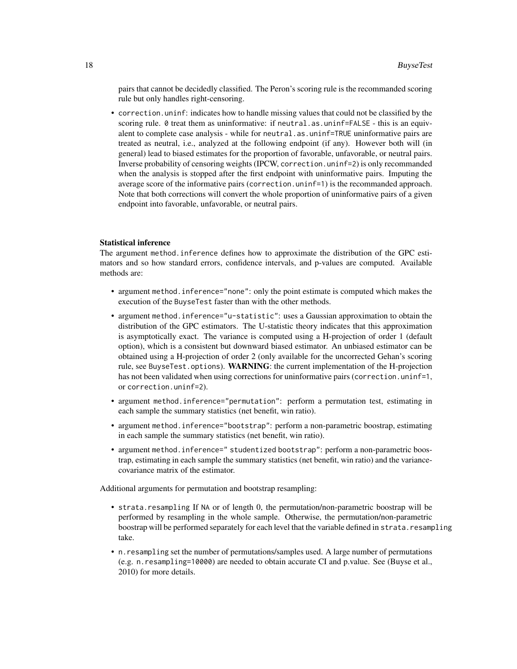pairs that cannot be decidedly classified. The Peron's scoring rule is the recommanded scoring rule but only handles right-censoring.

• correction.uninf: indicates how to handle missing values that could not be classified by the scoring rule. 0 treat them as uninformative: if neutral.as.uninf=FALSE - this is an equivalent to complete case analysis - while for neutral.as.uninf=TRUE uninformative pairs are treated as neutral, i.e., analyzed at the following endpoint (if any). However both will (in general) lead to biased estimates for the proportion of favorable, unfavorable, or neutral pairs. Inverse probability of censoring weights (IPCW, correction.uninf=2) is only recommanded when the analysis is stopped after the first endpoint with uninformative pairs. Imputing the average score of the informative pairs (correction.uninf=1) is the recommanded approach. Note that both corrections will convert the whole proportion of uninformative pairs of a given endpoint into favorable, unfavorable, or neutral pairs.

#### Statistical inference

The argument method.inference defines how to approximate the distribution of the GPC estimators and so how standard errors, confidence intervals, and p-values are computed. Available methods are:

- argument method.inference="none": only the point estimate is computed which makes the execution of the BuyseTest faster than with the other methods.
- argument method.inference="u-statistic": uses a Gaussian approximation to obtain the distribution of the GPC estimators. The U-statistic theory indicates that this approximation is asymptotically exact. The variance is computed using a H-projection of order 1 (default option), which is a consistent but downward biased estimator. An unbiased estimator can be obtained using a H-projection of order 2 (only available for the uncorrected Gehan's scoring rule, see BuyseTest.options). WARNING: the current implementation of the H-projection has not been validated when using corrections for uninformative pairs (correction.uninf=1, or correction.uninf=2).
- argument method.inference="permutation": perform a permutation test, estimating in each sample the summary statistics (net benefit, win ratio).
- argument method. inference="bootstrap": perform a non-parametric boostrap, estimating in each sample the summary statistics (net benefit, win ratio).
- argument method.inference=" studentized bootstrap": perform a non-parametric boostrap, estimating in each sample the summary statistics (net benefit, win ratio) and the variancecovariance matrix of the estimator.

Additional arguments for permutation and bootstrap resampling:

- strata.resampling If NA or of length 0, the permutation/non-parametric boostrap will be performed by resampling in the whole sample. Otherwise, the permutation/non-parametric boostrap will be performed separately for each level that the variable defined in strata.resampling take.
- n.resampling set the number of permutations/samples used. A large number of permutations (e.g. n.resampling=10000) are needed to obtain accurate CI and p.value. See (Buyse et al., 2010) for more details.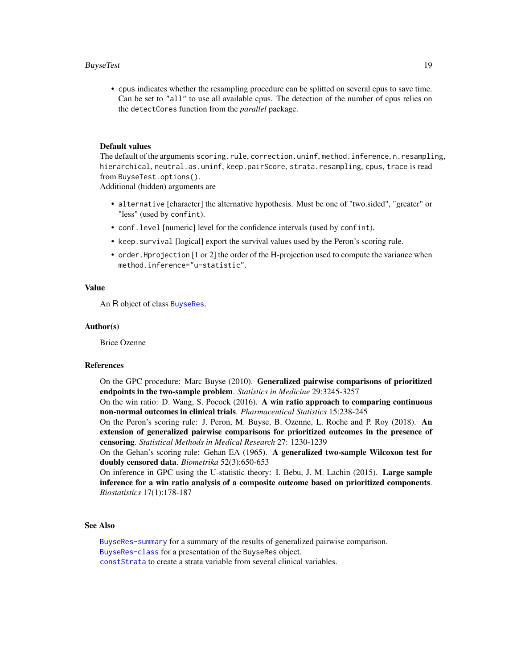#### <span id="page-18-0"></span>**BuyseTest** 19

• cpus indicates whether the resampling procedure can be splitted on several cpus to save time. Can be set to "all" to use all available cpus. The detection of the number of cpus relies on the detectCores function from the *parallel* package.

#### Default values

The default of the arguments scoring.rule, correction.uninf, method.inference, n.resampling, hierarchical, neutral.as.uninf, keep.pairScore, strata.resampling, cpus, trace is read from BuyseTest.options().

Additional (hidden) arguments are

- alternative [character] the alternative hypothesis. Must be one of "two.sided", "greater" or "less" (used by confint).
- conf.level [numeric] level for the confidence intervals (used by confint).
- keep.survival [logical] export the survival values used by the Peron's scoring rule.
- order.Hprojection [1 or 2] the order of the H-projection used to compute the variance when method.inference="u-statistic".

## Value

An R object of class [BuyseRes](#page-6-1).

#### Author(s)

Brice Ozenne

#### References

On the GPC procedure: Marc Buyse (2010). Generalized pairwise comparisons of prioritized endpoints in the two-sample problem. *Statistics in Medicine* 29:3245-3257

On the win ratio: D. Wang, S. Pocock (2016). A win ratio approach to comparing continuous non-normal outcomes in clinical trials. *Pharmaceutical Statistics* 15:238-245

On the Peron's scoring rule: J. Peron, M. Buyse, B. Ozenne, L. Roche and P. Roy (2018). An extension of generalized pairwise comparisons for prioritized outcomes in the presence of censoring. *Statistical Methods in Medical Research* 27: 1230-1239

On the Gehan's scoring rule: Gehan EA (1965). A generalized two-sample Wilcoxon test for doubly censored data. *Biometrika* 52(3):650-653

On inference in GPC using the U-statistic theory: I. Bebu, J. M. Lachin (2015). Large sample inference for a win ratio analysis of a composite outcome based on prioritized components. *Biostatistics* 17(1):178-187

#### See Also

[BuyseRes-summary](#page-9-1) for a summary of the results of generalized pairwise comparison. [BuyseRes-class](#page-6-1) for a presentation of the BuyseRes object. [constStrata](#page-23-1) to create a strata variable from several clinical variables.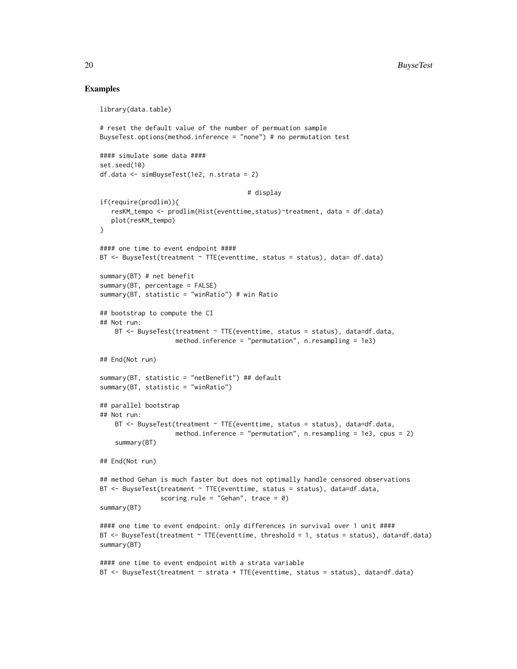## Examples

```
library(data.table)
# reset the default value of the number of permuation sample
BuyseTest.options(method.inference = "none") # no permutation test
#### simulate some data ####
set.seed(10)
df.data <- simBuyseTest(1e2, n.strata = 2)
                                       # display
if(require(prodlim)){
   resKM_tempo <- prodlim(Hist(eventtime,status)~treatment, data = df.data)
   plot(resKM_tempo)
}
#### one time to event endpoint ####
BT <- BuyseTest(treatment ~ TTE(eventtime, status = status), data= df.data)
summary(BT) # net benefit
summary(BT, percentage = FALSE)
summary(BT, statistic = "winRatio") # win Ratio
## bootstrap to compute the CI
## Not run:
   BT <- BuyseTest(treatment ~ TTE(eventtime, status = status), data=df.data,
                    method.inference = "permutation", n.resampling = 1e3)
## End(Not run)
summary(BT, statistic = "netBenefit") ## default
summary(BT, statistic = "winRatio")
## parallel bootstrap
## Not run:
    BT \leq BuyseTest(treatment \sim TTE(eventtime, status = status), data=df.data,
                    method.inference = "permutation", n.resampling = 1e3, cpus = 2)
    summary(BT)
## End(Not run)
## method Gehan is much faster but does not optimally handle censored observations
BT <- BuyseTest(treatment ~ TTE(eventtime, status = status), data=df.data,
                scoring.rule = "Gehan", trace = \theta)
summary(BT)
#### one time to event endpoint: only differences in survival over 1 unit ####
BT <- BuyseTest(treatment ~ TTE(eventtime, threshold = 1, status = status), data=df.data)
summary(BT)
#### one time to event endpoint with a strata variable
BT \leq BuyseTest(treatment \sim strata + TTE(eventtime, status = status), data=df.data)
```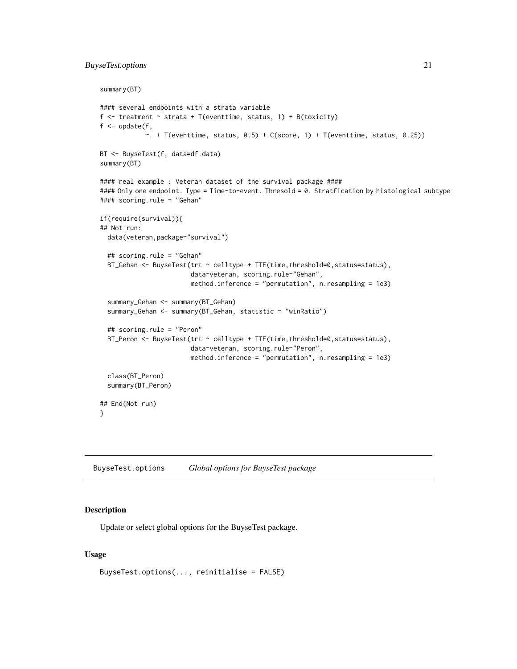## <span id="page-20-0"></span>BuyseTest.options 21

```
summary(BT)
#### several endpoints with a strata variable
f \le treatment \le strata + T(eventtime, status, 1) + B(toxicity)
f \leftarrow update(f,
            \sim. + T(eventtime, status, 0.5) + C(score, 1) + T(eventtime, status, 0.25))
BT <- BuyseTest(f, data=df.data)
summary(BT)
#### real example : Veteran dataset of the survival package ####
#### Only one endpoint. Type = Time-to-event. Thresold = 0. Stratfication by histological subtype
#### scoring.rule = "Gehan"
if(require(survival)){
## Not run:
 data(veteran,package="survival")
 ## scoring.rule = "Gehan"
 BT_Gehan <- BuyseTest(trt ~ celltype + TTE(time,threshold=0,status=status),
                        data=veteran, scoring.rule="Gehan",
                        method.inference = "permutation", n.resampling = 1e3)
 summary_Gehan <- summary(BT_Gehan)
 summary_Gehan <- summary(BT_Gehan, statistic = "winRatio")
 ## scoring.rule = "Peron"
 BT_Peron <- BuyseTest(trt ~ celltype + TTE(time, threshold=0, status=status),
                        data=veteran, scoring.rule="Peron",
                        method.inference = "permutation", n.resampling = 1e3)
 class(BT_Peron)
 summary(BT_Peron)
## End(Not run)
}
```
<span id="page-20-1"></span>BuyseTest.options *Global options for BuyseTest package*

#### Description

Update or select global options for the BuyseTest package.

#### Usage

```
BuyseTest.options(..., reinitialise = FALSE)
```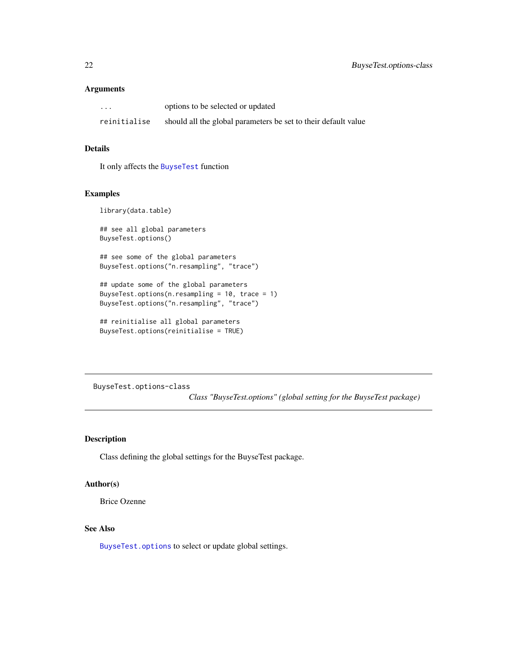## <span id="page-21-0"></span>Arguments

| $\cdots$     | options to be selected or updated                              |
|--------------|----------------------------------------------------------------|
| reinitialise | should all the global parameters be set to their default value |

## Details

It only affects the [BuyseTest](#page-14-1) function

#### Examples

library(data.table)

## see all global parameters BuyseTest.options()

## see some of the global parameters BuyseTest.options("n.resampling", "trace")

## update some of the global parameters BuyseTest.options(n.resampling =  $10$ , trace =  $1$ ) BuyseTest.options("n.resampling", "trace")

```
## reinitialise all global parameters
BuyseTest.options(reinitialise = TRUE)
```
BuyseTest.options-class

*Class "BuyseTest.options" (global setting for the BuyseTest package)*

## Description

Class defining the global settings for the BuyseTest package.

## Author(s)

Brice Ozenne

## See Also

[BuyseTest.options](#page-20-1) to select or update global settings.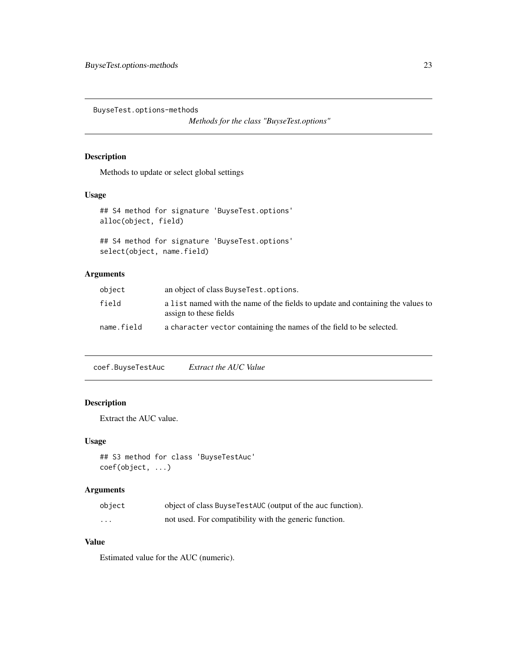<span id="page-22-0"></span>BuyseTest.options-methods

*Methods for the class "BuyseTest.options"*

## Description

Methods to update or select global settings

## Usage

```
## S4 method for signature 'BuyseTest.options'
alloc(object, field)
```

```
## S4 method for signature 'BuyseTest.options'
select(object, name.field)
```
## Arguments

| object     | an object of class BuyseTest.options.                                                                     |
|------------|-----------------------------------------------------------------------------------------------------------|
| field      | a list named with the name of the fields to update and containing the values to<br>assign to these fields |
| name.field | a character vector containing the names of the field to be selected.                                      |

coef.BuyseTestAuc *Extract the AUC Value*

## Description

Extract the AUC value.

## Usage

```
## S3 method for class 'BuyseTestAuc'
coef(object, ...)
```
## Arguments

| object   | object of class Buyse TestAUC (output of the auc function). |
|----------|-------------------------------------------------------------|
| $\cdots$ | not used. For compatibility with the generic function.      |

## Value

Estimated value for the AUC (numeric).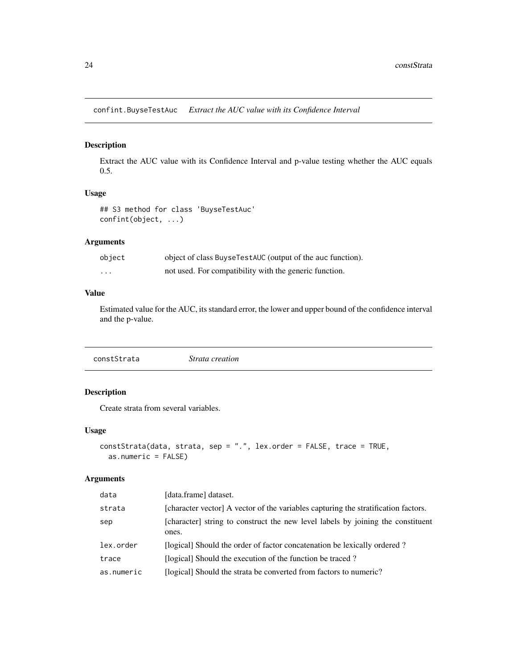<span id="page-23-0"></span>confint.BuyseTestAuc *Extract the AUC value with its Confidence Interval*

## Description

Extract the AUC value with its Confidence Interval and p-value testing whether the AUC equals 0.5.

#### Usage

## S3 method for class 'BuyseTestAuc' confint(object, ...)

## Arguments

| object  | object of class Buyse TestAUC (output of the auc function). |
|---------|-------------------------------------------------------------|
| $\cdot$ | not used. For compatibility with the generic function.      |

## Value

Estimated value for the AUC, its standard error, the lower and upper bound of the confidence interval and the p-value.

<span id="page-23-1"></span>constStrata *Strata creation*

## Description

Create strata from several variables.

#### Usage

```
constStrata(data, strata, sep = ".", lex.order = FALSE, trace = TRUE,
 as.numeric = FALSE)
```

| data       | [data.frame] dataset.                                                                    |
|------------|------------------------------------------------------------------------------------------|
| strata     | [character vector] A vector of the variables capturing the stratification factors.       |
| sep        | [character] string to construct the new level labels by joining the constituent<br>ones. |
| lex.order  | [logical] Should the order of factor concatenation be lexically ordered?                 |
| trace      | [logical] Should the execution of the function be traced?                                |
| as.numeric | [logical] Should the strata be converted from factors to numeric?                        |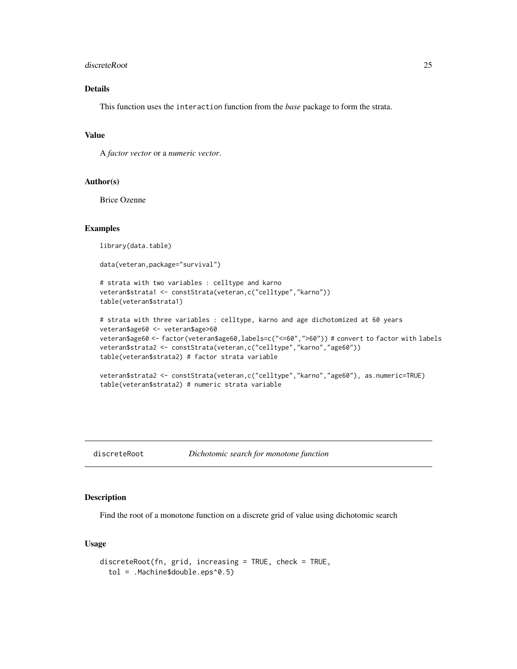#### <span id="page-24-0"></span>discreteRoot 25

## Details

This function uses the interaction function from the *base* package to form the strata.

## Value

A *factor vector* or a *numeric vector*.

## Author(s)

Brice Ozenne

## Examples

library(data.table)

data(veteran,package="survival")

```
# strata with two variables : celltype and karno
veteran$strata1 <- constStrata(veteran,c("celltype","karno"))
table(veteran$strata1)
```

```
# strata with three variables : celltype, karno and age dichotomized at 60 years
veteran$age60 <- veteran$age>60
veteran$age60 <- factor(veteran$age60,labels=c("<=60",">60")) # convert to factor with labels
veteran$strata2 <- constStrata(veteran,c("celltype","karno","age60"))
table(veteran$strata2) # factor strata variable
```

```
veteran$strata2 <- constStrata(veteran,c("celltype","karno","age60"), as.numeric=TRUE)
table(veteran$strata2) # numeric strata variable
```
## discreteRoot *Dichotomic search for monotone function*

## Description

Find the root of a monotone function on a discrete grid of value using dichotomic search

#### Usage

```
discreteRoot(fn, grid, increasing = TRUE, check = TRUE,
  tol = .Machine$double.eps^0.5)
```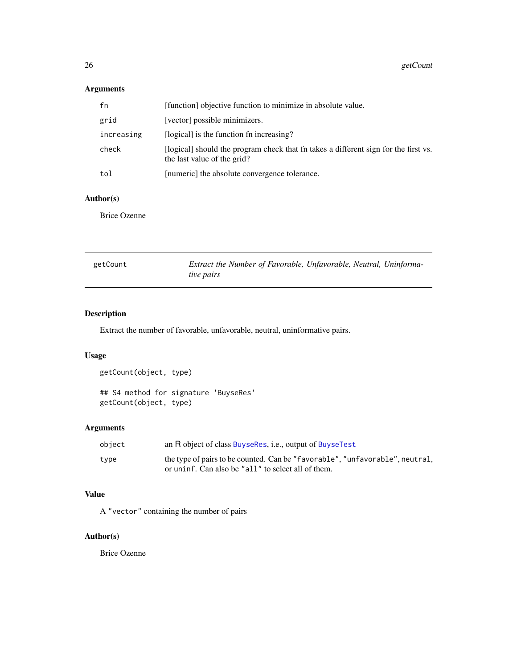## <span id="page-25-0"></span>Arguments

| fn         | [function] objective function to minimize in absolute value.                                                       |
|------------|--------------------------------------------------------------------------------------------------------------------|
| grid       | [vector] possible minimizers.                                                                                      |
| increasing | [logical] is the function fn increasing?                                                                           |
| check      | [logical] should the program check that fn takes a different sign for the first vs.<br>the last value of the grid? |
| tol        | [numeric] the absolute convergence tolerance.                                                                      |

## Author(s)

Brice Ozenne

| getCount | Extract the Number of Favorable, Unfavorable, Neutral, Uninforma- |  |  |
|----------|-------------------------------------------------------------------|--|--|
|          | tive pairs                                                        |  |  |

## Description

Extract the number of favorable, unfavorable, neutral, uninformative pairs.

## Usage

```
getCount(object, type)
## S4 method for signature 'BuyseRes'
getCount(object, type)
```
## Arguments

| object | an R object of class BuyseRes, i.e., output of BuyseTest                     |
|--------|------------------------------------------------------------------------------|
| type   | the type of pairs to be counted. Can be "favorable", "unfavorable", neutral, |
|        | or uninf. Can also be "all" to select all of them.                           |

## Value

A "vector" containing the number of pairs

## Author(s)

Brice Ozenne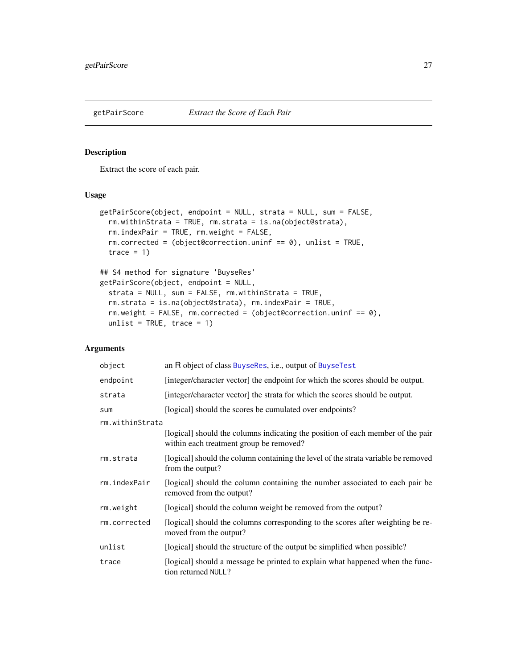<span id="page-26-0"></span>

## Description

Extract the score of each pair.

## Usage

```
getPairScore(object, endpoint = NULL, strata = NULL, sum = FALSE,
  rm.withinStrata = TRUE, rm.strata = is.na(object@strata),
  rm.indexPair = TRUE, rm.weight = FALSE,
 rm.corrected = (object@correction.uninf == 0), unlist = TRUE,
  trace = 1## S4 method for signature 'BuyseRes'
getPairScore(object, endpoint = NULL,
 strata = NULL, sum = FALSE, rm.withinStrata = TRUE,
  rm.strata = is.na(object@strata), rm.indexPair = TRUE,
 rm.weight = FALSE, rm.corrected = (object@correction.uninf == 0),
 unlist = TRUE, trace = 1)
```

| object          | an R object of class BuyseRes, i.e., output of BuyseTest                                                                   |
|-----------------|----------------------------------------------------------------------------------------------------------------------------|
| endpoint        | [integer/character vector] the endpoint for which the scores should be output.                                             |
| strata          | [integer/character vector] the strata for which the scores should be output.                                               |
| sum             | [logical] should the scores be cumulated over endpoints?                                                                   |
| rm.withinStrata |                                                                                                                            |
|                 | [logical] should the columns indicating the position of each member of the pair<br>within each treatment group be removed? |
| rm.strata       | [logical] should the column containing the level of the strata variable be removed<br>from the output?                     |
| rm.indexPair    | [logical] should the column containing the number associated to each pair be<br>removed from the output?                   |
| rm.weight       | [logical] should the column weight be removed from the output?                                                             |
| rm.corrected    | [logical] should the columns corresponding to the scores after weighting be re-<br>moved from the output?                  |
| unlist          | [logical] should the structure of the output be simplified when possible?                                                  |
| trace           | [logical] should a message be printed to explain what happened when the func-<br>tion returned NULL?                       |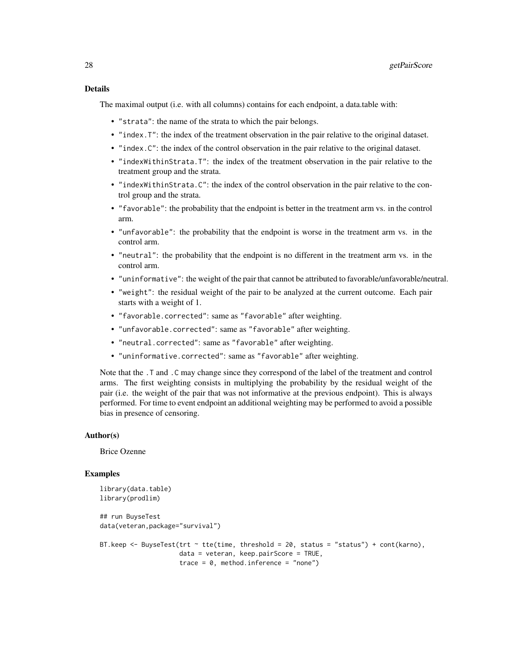The maximal output (i.e. with all columns) contains for each endpoint, a data.table with:

- "strata": the name of the strata to which the pair belongs.
- "index.T": the index of the treatment observation in the pair relative to the original dataset.
- "index.C": the index of the control observation in the pair relative to the original dataset.
- "indexWithinStrata.T": the index of the treatment observation in the pair relative to the treatment group and the strata.
- "indexWithinStrata.C": the index of the control observation in the pair relative to the control group and the strata.
- "favorable": the probability that the endpoint is better in the treatment arm vs. in the control arm.
- "unfavorable": the probability that the endpoint is worse in the treatment arm vs. in the control arm.
- "neutral": the probability that the endpoint is no different in the treatment arm vs. in the control arm.
- "uninformative": the weight of the pair that cannot be attributed to favorable/unfavorable/neutral.
- "weight": the residual weight of the pair to be analyzed at the current outcome. Each pair starts with a weight of 1.
- "favorable.corrected": same as "favorable" after weighting.
- "unfavorable.corrected": same as "favorable" after weighting.
- "neutral.corrected": same as "favorable" after weighting.
- "uninformative.corrected": same as "favorable" after weighting.

Note that the .T and .C may change since they correspond of the label of the treatment and control arms. The first weighting consists in multiplying the probability by the residual weight of the pair (i.e. the weight of the pair that was not informative at the previous endpoint). This is always performed. For time to event endpoint an additional weighting may be performed to avoid a possible bias in presence of censoring.

#### Author(s)

Brice Ozenne

#### Examples

```
library(data.table)
library(prodlim)
## run BuyseTest
data(veteran,package="survival")
BT.keep <- BuyseTest(trt \sim tte(time, threshold = 20, status = "status") + cont(karno),
                     data = veteran, keep.pairScore = TRUE,
                     trace = 0, method.inference = "none")
```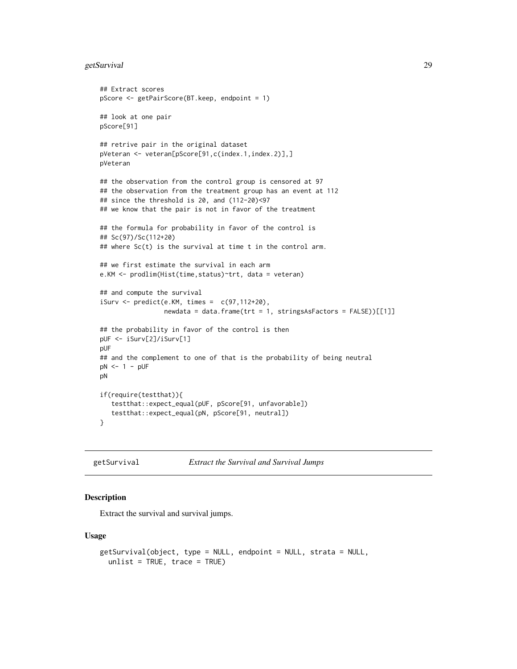## <span id="page-28-0"></span>getSurvival 29

```
## Extract scores
pScore <- getPairScore(BT.keep, endpoint = 1)
## look at one pair
pScore[91]
## retrive pair in the original dataset
pVeteran <- veteran[pScore[91,c(index.1,index.2)],]
pVeteran
## the observation from the control group is censored at 97
## the observation from the treatment group has an event at 112
## since the threshold is 20, and (112-20)<97
## we know that the pair is not in favor of the treatment
## the formula for probability in favor of the control is
## Sc(97)/Sc(112+20)
## where Sc(t) is the survival at time t in the control arm.
## we first estimate the survival in each arm
e.KM <- prodlim(Hist(time,status)~trt, data = veteran)
## and compute the survival
iSurv \leftarrow predict(e.KM, times = c(97, 112+20),newdata = data.frame(trt = 1, stringsAsFactors = FALSE))[[1]]
## the probability in favor of the control is then
pUF <- iSurv[2]/iSurv[1]
pUF
## and the complement to one of that is the probability of being neutral
pN <- 1 - pUF
pN
if(require(testthat)){
   testthat::expect_equal(pUF, pScore[91, unfavorable])
   testthat::expect_equal(pN, pScore[91, neutral])
}
```
getSurvival *Extract the Survival and Survival Jumps*

#### Description

Extract the survival and survival jumps.

#### Usage

```
getSurvival(object, type = NULL, endpoint = NULL, strata = NULL,
  unlist = TRUE, trace = TRUE)
```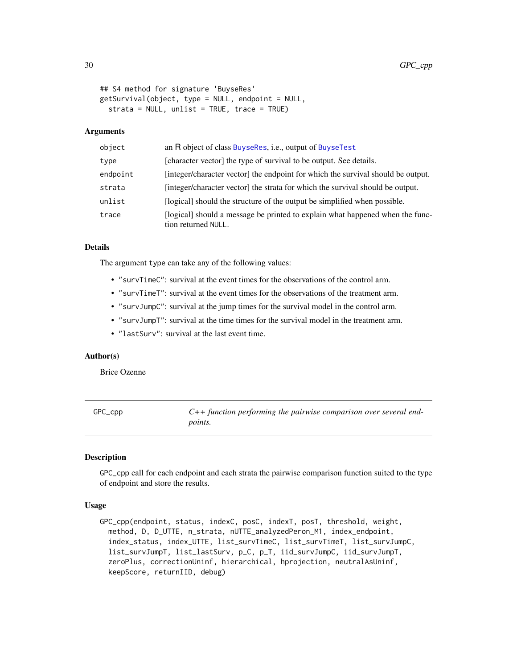```
## S4 method for signature 'BuyseRes'
getSurvival(object, type = NULL, endpoint = NULL,
  strata = NULL, unlist = TRUE, trace = TRUE)
```
#### Arguments

| object   | an R object of class BuyseRes, i.e., output of BuyseTest                                             |
|----------|------------------------------------------------------------------------------------------------------|
| type     | [character vector] the type of survival to be output. See details.                                   |
| endpoint | [integer/character vector] the endpoint for which the survival should be output.                     |
| strata   | [integer/character vector] the strata for which the survival should be output.                       |
| unlist   | [logical] should the structure of the output be simplified when possible.                            |
| trace    | [logical] should a message be printed to explain what happened when the func-<br>tion returned NULL. |

## Details

The argument type can take any of the following values:

- "survTimeC": survival at the event times for the observations of the control arm.
- "survTimeT": survival at the event times for the observations of the treatment arm.
- "survJumpC": survival at the jump times for the survival model in the control arm.
- "survJumpT": survival at the time times for the survival model in the treatment arm.
- "lastSurv": survival at the last event time.

#### Author(s)

Brice Ozenne

GPC\_cpp *C++ function performing the pairwise comparison over several endpoints.*

#### **Description**

GPC\_cpp call for each endpoint and each strata the pairwise comparison function suited to the type of endpoint and store the results.

## Usage

```
GPC_cpp(endpoint, status, indexC, posC, indexT, posT, threshold, weight,
 method, D, D_UTTE, n_strata, nUTTE_analyzedPeron_M1, index_endpoint,
  index_status, index_UTTE, list_survTimeC, list_survTimeT, list_survJumpC,
  list_survJumpT, list_lastSurv, p_C, p_T, iid_survJumpC, iid_survJumpT,
  zeroPlus, correctionUninf, hierarchical, hprojection, neutralAsUninf,
  keepScore, returnIID, debug)
```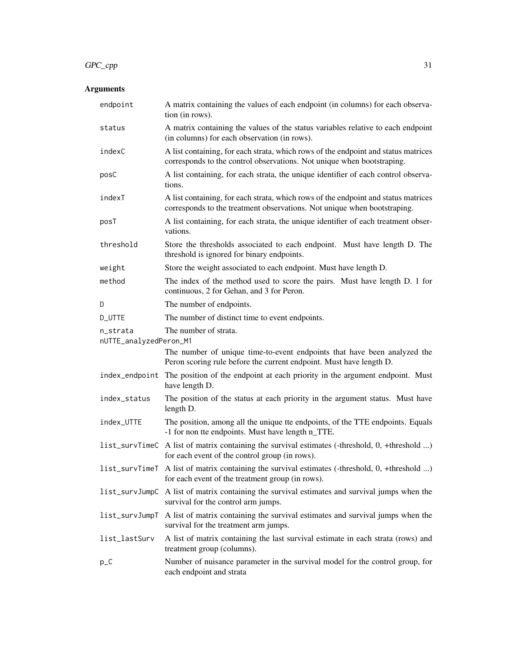## $GPC\_cpp$  31

| endpoint                           | A matrix containing the values of each endpoint (in columns) for each observa-<br>tion (in rows).                                                              |
|------------------------------------|----------------------------------------------------------------------------------------------------------------------------------------------------------------|
| status                             | A matrix containing the values of the status variables relative to each endpoint<br>(in columns) for each observation (in rows).                               |
| indexC                             | A list containing, for each strata, which rows of the endpoint and status matrices<br>corresponds to the control observations. Not unique when bootstraping.   |
| posC                               | A list containing, for each strata, the unique identifier of each control observa-<br>tions.                                                                   |
| indexT                             | A list containing, for each strata, which rows of the endpoint and status matrices<br>corresponds to the treatment observations. Not unique when bootstraping. |
| posT                               | A list containing, for each strata, the unique identifier of each treatment obser-<br>vations.                                                                 |
| threshold                          | Store the thresholds associated to each endpoint. Must have length D. The<br>threshold is ignored for binary endpoints.                                        |
| weight                             | Store the weight associated to each endpoint. Must have length D.                                                                                              |
| method                             | The index of the method used to score the pairs. Must have length D. 1 for<br>continuous, 2 for Gehan, and 3 for Peron.                                        |
| D                                  | The number of endpoints.                                                                                                                                       |
| D_UTTE                             | The number of distinct time to event endpoints.                                                                                                                |
| n_strata<br>nUTTE_analyzedPeron_M1 | The number of strata.                                                                                                                                          |
|                                    | The number of unique time-to-event endpoints that have been analyzed the                                                                                       |
|                                    | Peron scoring rule before the current endpoint. Must have length D.                                                                                            |
| index_endpoint                     | The position of the endpoint at each priority in the argument endpoint. Must<br>have length D.                                                                 |
| index_status                       | The position of the status at each priority in the argument status. Must have<br>length D.                                                                     |
| index_UTTE                         | The position, among all the unique tte endpoints, of the TTE endpoints. Equals<br>-1 for non tte endpoints. Must have length n_TTE.                            |
|                                    | list_survTimeC A list of matrix containing the survival estimates (-threshold, 0, +threshold )<br>for each event of the control group (in rows).               |
|                                    | list_survTimeT A list of matrix containing the survival estimates (-threshold, 0, +threshold )<br>for each event of the treatment group (in rows).             |
| list_survJumpC                     | A list of matrix containing the survival estimates and survival jumps when the<br>survival for the control arm jumps.                                          |
| list_survJumpT                     | A list of matrix containing the survival estimates and survival jumps when the<br>survival for the treatment arm jumps.                                        |
| list_lastSurv                      | A list of matrix containing the last survival estimate in each strata (rows) and<br>treatment group (columns).                                                 |
| $p_C$                              | Number of nuisance parameter in the survival model for the control group, for<br>each endpoint and strata                                                      |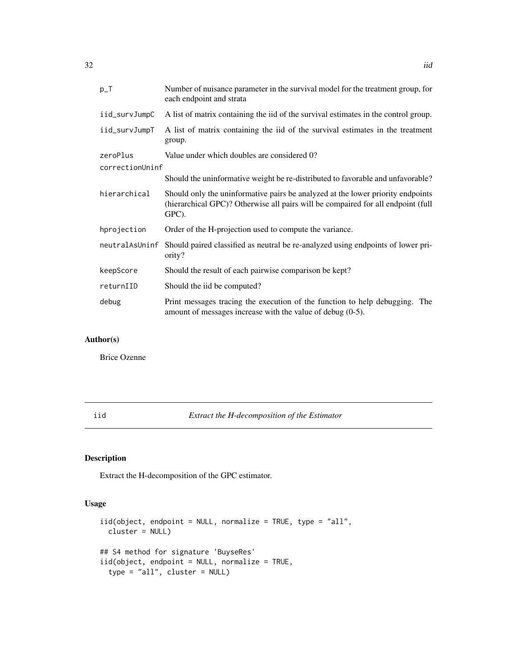<span id="page-31-0"></span>

| $p_T$           | Number of nuisance parameter in the survival model for the treatment group, for<br>each endpoint and strata                                                                  |  |
|-----------------|------------------------------------------------------------------------------------------------------------------------------------------------------------------------------|--|
| iid_survJumpC   | A list of matrix containing the iid of the survival estimates in the control group.                                                                                          |  |
| iid_survJumpT   | A list of matrix containing the iid of the survival estimates in the treatment<br>group.                                                                                     |  |
| zeroPlus        | Value under which doubles are considered 0?                                                                                                                                  |  |
| correctionUninf |                                                                                                                                                                              |  |
|                 | Should the uninformative weight be re-distributed to favorable and unfavorable?                                                                                              |  |
| hierarchical    | Should only the uninformative pairs be analyzed at the lower priority endpoints<br>(hierarchical GPC)? Otherwise all pairs will be compaired for all endpoint (full<br>GPC). |  |
| hprojection     | Order of the H-projection used to compute the variance.                                                                                                                      |  |
| neutralAsUninf  | Should paired classified as neutral be re-analyzed using endpoints of lower pri-<br>ority?                                                                                   |  |
| keepScore       | Should the result of each pairwise comparison be kept?                                                                                                                       |  |
| returnIID       | Should the iid be computed?                                                                                                                                                  |  |
| debug           | Print messages tracing the execution of the function to help debugging. The<br>amount of messages increase with the value of debug $(0-5)$ .                                 |  |

## Author(s)

Brice Ozenne

iid *Extract the H-decomposition of the Estimator*

## Description

Extract the H-decomposition of the GPC estimator.

## Usage

```
iid(object, endpoint = NULL, normalize = TRUE, type = "all",
 cluster = NULL)
## S4 method for signature 'BuyseRes'
iid(object, endpoint = NULL, normalize = TRUE,
 type = "all", cluster = NULL)
```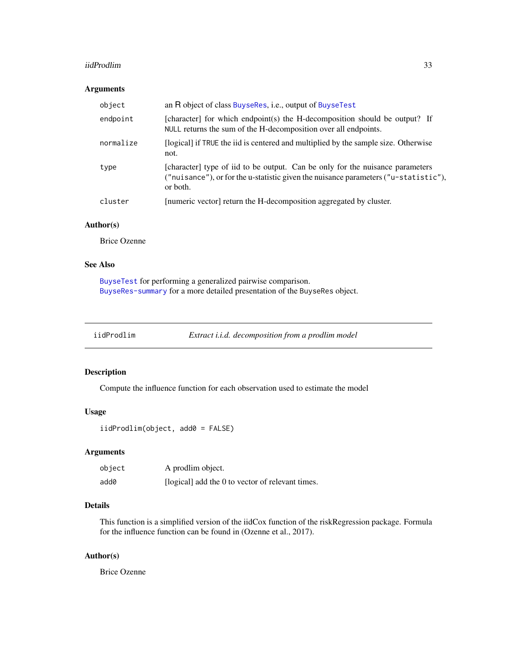#### <span id="page-32-0"></span>iidProdlim 33

## Arguments

| object    | an R object of class BuyseRes, <i>i.e.</i> , output of BuyseTest                                                                                                                 |
|-----------|----------------------------------------------------------------------------------------------------------------------------------------------------------------------------------|
| endpoint  | [character] for which endpoint(s) the H-decomposition should be output? If<br>NULL returns the sum of the H-decomposition over all endpoints.                                    |
| normalize | (logical) if TRUE the iid is centered and multiplied by the sample size. Otherwise<br>not.                                                                                       |
| type      | [character] type of iid to be output. Can be only for the nuisance parameters<br>("nuisance"), or for the u-statistic given the nuisance parameters ("u-statistic"),<br>or both. |
| cluster   | [numeric vector] return the H-decomposition aggregated by cluster.                                                                                                               |

## Author(s)

Brice Ozenne

## See Also

[BuyseTest](#page-14-1) for performing a generalized pairwise comparison. [BuyseRes-summary](#page-9-1) for a more detailed presentation of the BuyseRes object.

iidProdlim *Extract i.i.d. decomposition from a prodlim model*

## Description

Compute the influence function for each observation used to estimate the model

#### Usage

```
iidProdlim(object, add0 = FALSE)
```
## Arguments

| object | A prodlim object.                                |
|--------|--------------------------------------------------|
| add0   | [logical] add the 0 to vector of relevant times. |

## Details

This function is a simplified version of the iidCox function of the riskRegression package. Formula for the influence function can be found in (Ozenne et al., 2017).

## Author(s)

Brice Ozenne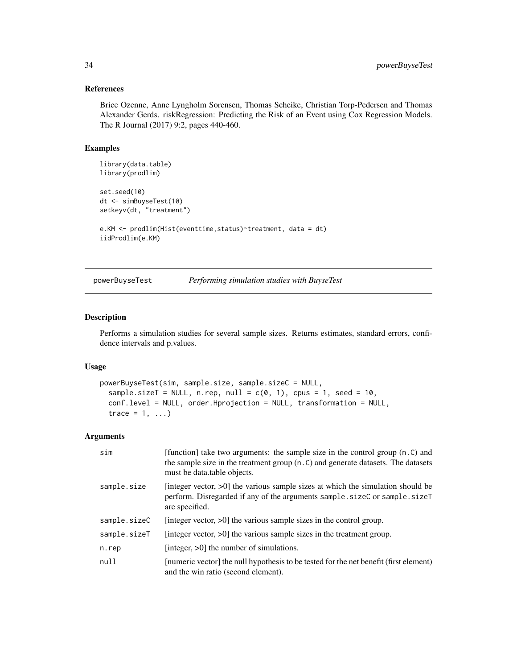#### References

Brice Ozenne, Anne Lyngholm Sorensen, Thomas Scheike, Christian Torp-Pedersen and Thomas Alexander Gerds. riskRegression: Predicting the Risk of an Event using Cox Regression Models. The R Journal (2017) 9:2, pages 440-460.

## Examples

```
library(data.table)
library(prodlim)
set.seed(10)
dt <- simBuyseTest(10)
setkeyv(dt, "treatment")
e.KM <- prodlim(Hist(eventtime,status)~treatment, data = dt)
iidProdlim(e.KM)
```
<span id="page-33-1"></span>powerBuyseTest *Performing simulation studies with BuyseTest*

#### Description

Performs a simulation studies for several sample sizes. Returns estimates, standard errors, confidence intervals and p.values.

## Usage

```
powerBuyseTest(sim, sample.size, sample.sizeC = NULL,
  sample.sizeT = NULL, n.rep, null = c(\theta, 1), cpus = 1, seed = 10,
  conf.level = NULL, order.Hprojection = NULL, transformation = NULL,
  trace = 1, \ldots)
```

| sim          | [function] take two arguments: the sample size in the control group (n.C) and<br>the sample size in the treatment group (n.C) and generate datasets. The datasets<br>must be data.table objects. |
|--------------|--------------------------------------------------------------------------------------------------------------------------------------------------------------------------------------------------|
| sample.size  | [integer vector, $>0$ ] the various sample sizes at which the simulation should be<br>perform. Disregarded if any of the arguments sample.sizeC or sample.sizeT<br>are specified.                |
| sample.sizeC | [integer vector, $>0$ ] the various sample sizes in the control group.                                                                                                                           |
| sample.sizeT | [integer vector, $>0$ ] the various sample sizes in the treatment group.                                                                                                                         |
| n.rep        | [integer, $>0$ ] the number of simulations.                                                                                                                                                      |
| null         | [numeric vector] the null hypothesis to be tested for the net benefit (first element)<br>and the win ratio (second element).                                                                     |

<span id="page-33-0"></span>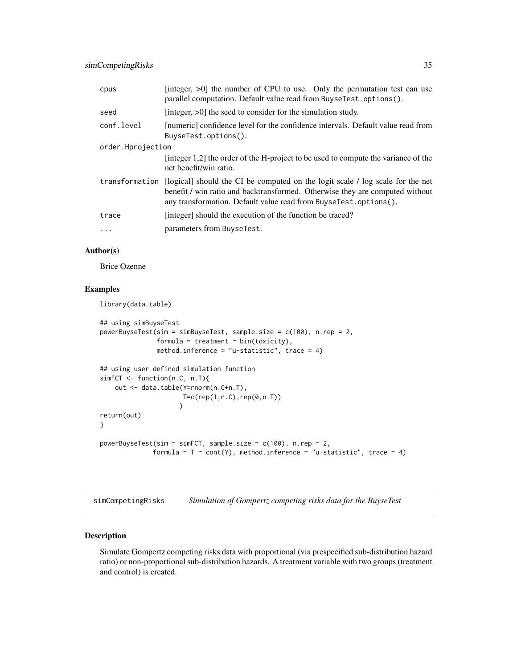<span id="page-34-0"></span>

| cpus              | [integer, $>0$ ] the number of CPU to use. Only the permutation test can use<br>parallel computation. Default value read from BuyseTest.options().                                                                                 |
|-------------------|------------------------------------------------------------------------------------------------------------------------------------------------------------------------------------------------------------------------------------|
| seed              | [integer, $>0$ ] the seed to consider for the simulation study.                                                                                                                                                                    |
| conf.level        | [numeric] confidence level for the confidence intervals. Default value read from<br>BuyseTest.options().                                                                                                                           |
| order.Hprojection |                                                                                                                                                                                                                                    |
|                   | [integer 1,2] the order of the H-project to be used to compute the variance of the<br>net benefit/win ratio.                                                                                                                       |
| transformation    | [logical] should the CI be computed on the logit scale / log scale for the net<br>benefit / win ratio and backtransformed. Otherwise they are computed without<br>any transformation. Default value read from BuyseTest.options(). |
| trace             | [integer] should the execution of the function be traced?                                                                                                                                                                          |
|                   | parameters from BuyseTest.                                                                                                                                                                                                         |

## Author(s)

Brice Ozenne

#### Examples

library(data.table)

```
## using simBuyseTest
powerBuyseTest(sim = simBuyseTest, sample.size = c(100), n.rep = 2,
               formula = treatment \sim bin(toxicity),
               method.inference = "u-statistic", trace = 4)
## using user defined simulation function
simFCT <- function(n.C, n.T){
   out <- data.table(Y=rnorm(n.C+n.T),
                      T=c(rep(1,n.C),rep(0,n.T))
                     )
return(out)
}
powerBuyseTest(sim = simFCT, sample.size = c(100), n.rep = 2,
              formula = T \sim cont(Y), method.inference = "u-statistic", trace = 4)
```
simCompetingRisks *Simulation of Gompertz competing risks data for the BuyseTest*

## Description

Simulate Gompertz competing risks data with proportional (via prespecified sub-distribution hazard ratio) or non-proportional sub-distribution hazards. A treatment variable with two groups (treatment and control) is created.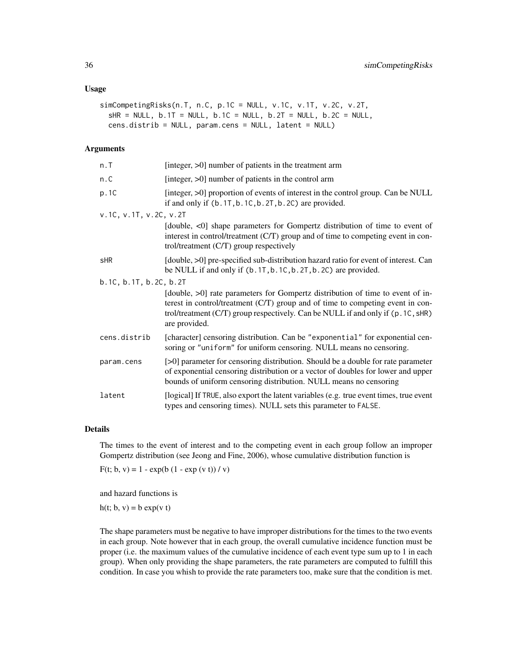#### Usage

```
simCompetingRisks(n.T, n.C, p.1C = NULL, v.1C, v.1T, v.2C, v.2T,
  SHR = NULL, b.1T = NULL, b.1C = NULL, b.2T = NULL, b.2C = NULLcens.distrib = NULL, param.cens = NULL, latent = NULL)
```
## Arguments

| n.T                    | [integer, $>0$ ] number of patients in the treatment arm                                                                                                                                                                                                              |
|------------------------|-----------------------------------------------------------------------------------------------------------------------------------------------------------------------------------------------------------------------------------------------------------------------|
| n.C                    | [integer, $>0$ ] number of patients in the control arm                                                                                                                                                                                                                |
| p.1C                   | [integer, >0] proportion of events of interest in the control group. Can be NULL<br>if and only if $(b.1T, b.1C, b.2T, b.2C)$ are provided.                                                                                                                           |
| v.1C, v.1T, v.2C, v.2T |                                                                                                                                                                                                                                                                       |
|                        | [double, <0] shape parameters for Gompertz distribution of time to event of<br>interest in control/treatment (C/T) group and of time to competing event in con-<br>trol/treatment $(C/T)$ group respectively                                                          |
| sHR                    | [double, >0] pre-specified sub-distribution hazard ratio for event of interest. Can<br>be NULL if and only if $(b.1T, b.1C, b.2T, b.2C)$ are provided.                                                                                                                |
| b.1C, b.1T, b.2C, b.2T |                                                                                                                                                                                                                                                                       |
|                        | [double, >0] rate parameters for Gompertz distribution of time to event of in-<br>terest in control/treatment (C/T) group and of time to competing event in con-<br>trol/treatment (C/T) group respectively. Can be NULL if and only if (p. 1C, sHR)<br>are provided. |
| cens.distrib           | [character] censoring distribution. Can be "exponential" for exponential cen-<br>soring or "uniform" for uniform censoring. NULL means no censoring.                                                                                                                  |
| param.cens             | [>0] parameter for censoring distribution. Should be a double for rate parameter<br>of exponential censoring distribution or a vector of doubles for lower and upper<br>bounds of uniform censoring distribution. NULL means no censoring                             |
| latent                 | [logical] If TRUE, also export the latent variables (e.g. true event times, true event<br>types and censoring times). NULL sets this parameter to FALSE.                                                                                                              |

## Details

The times to the event of interest and to the competing event in each group follow an improper Gompertz distribution (see Jeong and Fine, 2006), whose cumulative distribution function is

 $F(t; b, v) = 1 - exp(b (1 - exp (v t))/v)$ 

and hazard functions is

 $h(t; b, v) = b \exp(v t)$ 

The shape parameters must be negative to have improper distributions for the times to the two events in each group. Note however that in each group, the overall cumulative incidence function must be proper (i.e. the maximum values of the cumulative incidence of each event type sum up to 1 in each group). When only providing the shape parameters, the rate parameters are computed to fulfill this condition. In case you whish to provide the rate parameters too, make sure that the condition is met.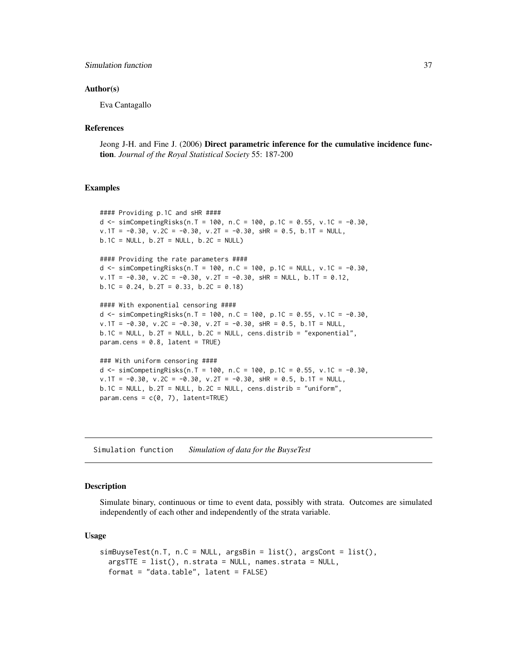## <span id="page-36-0"></span>Simulation function 37

#### Author(s)

Eva Cantagallo

#### References

Jeong J-H. and Fine J. (2006) Direct parametric inference for the cumulative incidence function. *Journal of the Royal Statistical Society* 55: 187-200

#### Examples

```
#### Providing p.1C and sHR ####
d <- simCompetingRisks(n.T = 100, n.C = 100, p.1C = 0.55, v.1C = -0.30,
v.1T = -0.30, v.2C = -0.30, v.2T = -0.30, sHR = 0.5, b.1T = NULL,
b.1C = NULL, b.2T = NULL, b.2C = NULL#### Providing the rate parameters ####
d <- simCompetingRisks(n.T = 100, n.C = 100, p.1C = NULL, v.1C = -0.30,
v.1T = -0.30, v.2C = -0.30, v.2T = -0.30, sHR = NULL, b.1T = 0.12,
b.1C = 0.24, b.2T = 0.33, b.2C = 0.18)
#### With exponential censoring ####
d \le simCompetingRisks(n.T = 100, n.C = 100, p.1C = 0.55, v.1C = -0.30,
v.1T = -0.30, v.2C = -0.30, v.2T = -0.30, sHR = 0.5, b.1T = NULL,
b.1C = NULL, b.2T = NULL, b.2C = NULL, cens.distrib = "exponential",
param.cens = 0.8, latent = TRUE)### With uniform censoring ####
d \le simCompetingRisks(n.T = 100, n.C = 100, p.1C = 0.55, v.1C = -0.30,
v.1T = -0.30, v.2C = -0.30, v.2T = -0.30, sHR = 0.5, b.1T = NULL,
b.1C = NULL, b.2T = NULL, b.2C = NULL, cens.distrib = "uniform",
param.cens = c(0, 7), latent=TRUE)
```
Simulation function *Simulation of data for the BuyseTest*

#### Description

Simulate binary, continuous or time to event data, possibly with strata. Outcomes are simulated independently of each other and independently of the strata variable.

#### Usage

```
simBuyseTest(n.T, n.C = NULL, argsBin = list(), argsCont = list(),
  argsTTE = list(), n.strata = NULL, names.strata = NULL,
 format = "data.table", latent = FALSE)
```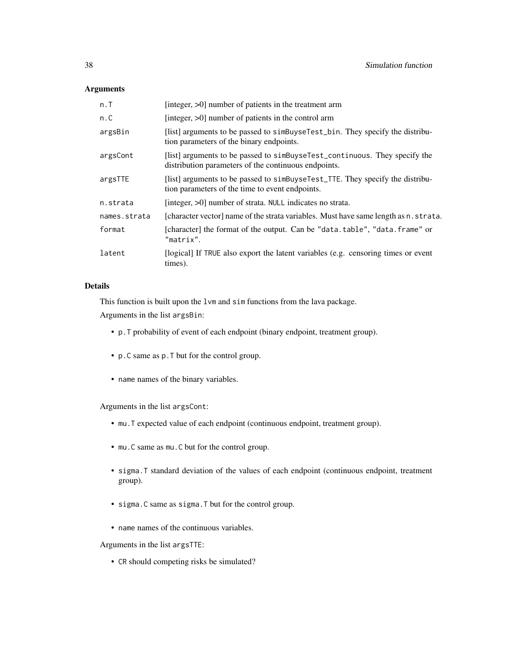## Arguments

| n.T          | [integer, >0] number of patients in the treatment arm                                                                              |
|--------------|------------------------------------------------------------------------------------------------------------------------------------|
| n.C          | [integer, $>0$ ] number of patients in the control arm                                                                             |
| argsBin      | [list] arguments to be passed to simbuy select_bin. They specify the distribu-<br>tion parameters of the binary endpoints.         |
| argsCont     | [list] arguments to be passed to simBuyseTest_continuous. They specify the<br>distribution parameters of the continuous endpoints. |
| argsTTE      | [list] arguments to be passed to simBuyseTest_TTE. They specify the distribu-<br>tion parameters of the time to event endpoints.   |
| n.strata     | [integer, >0] number of strata. NULL indicates no strata.                                                                          |
| names.strata | [character vector] name of the strata variables. Must have same length as n. strata.                                               |
| format       | [character] the format of the output. Can be "data.table", "data.frame" or<br>"matrix".                                            |
| latent       | [logical] If TRUE also export the latent variables (e.g. censoring times or event<br>times).                                       |

## Details

This function is built upon the lvm and sim functions from the lava package.

Arguments in the list argsBin:

- p.T probability of event of each endpoint (binary endpoint, treatment group).
- p.C same as p.T but for the control group.
- name names of the binary variables.

Arguments in the list argsCont:

- mu.T expected value of each endpoint (continuous endpoint, treatment group).
- mu.C same as mu.C but for the control group.
- sigma.T standard deviation of the values of each endpoint (continuous endpoint, treatment group).
- sigma.C same as sigma.T but for the control group.
- name names of the continuous variables.

Arguments in the list argsTTE:

• CR should competing risks be simulated?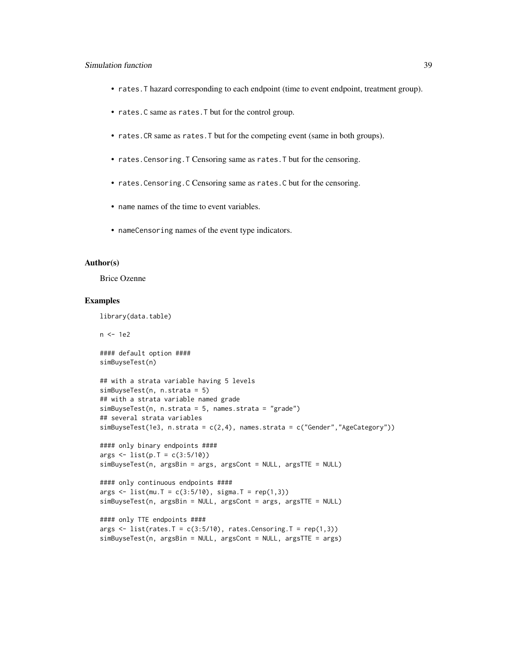## Simulation function 39

- rates.T hazard corresponding to each endpoint (time to event endpoint, treatment group).
- rates.C same as rates.T but for the control group.
- rates.CR same as rates.T but for the competing event (same in both groups).
- rates.Censoring.T Censoring same as rates.T but for the censoring.
- rates.Censoring.C Censoring same as rates.C but for the censoring.
- name names of the time to event variables.
- nameCensoring names of the event type indicators.

#### Author(s)

Brice Ozenne

#### Examples

library(data.table)

n <- 1e2

#### default option #### simBuyseTest(n)

```
## with a strata variable having 5 levels
simBuyseTest(n, n.strata = 5)
## with a strata variable named grade
simBuyseTest(n, n.strata = 5, names.strata = "grade")
## several strata variables
simBuyseTest(1e3, n.strata = c(2,4), names.strata = c("Gender","AgeCategory"))
```

```
#### only binary endpoints ####
args <- list(p.T = c(3:5/10))
simBuyseTest(n, argsBin = args, argsCont = NULL, argsTTE = NULL)
```

```
#### only continuous endpoints ####
args < - list(mu.T = c(3:5/10), sigma.T = rep(1,3))simBuyseTest(n, argsBin = NULL, argsCont = args, argsTTE = NULL)
```

```
#### only TTE endpoints ####
args \le list(rates.T = c(3:5/10), rates.Censoring.T = rep(1,3))
simBuyseTest(n, argsBin = NULL, argsCont = NULL, argsTTE = args)
```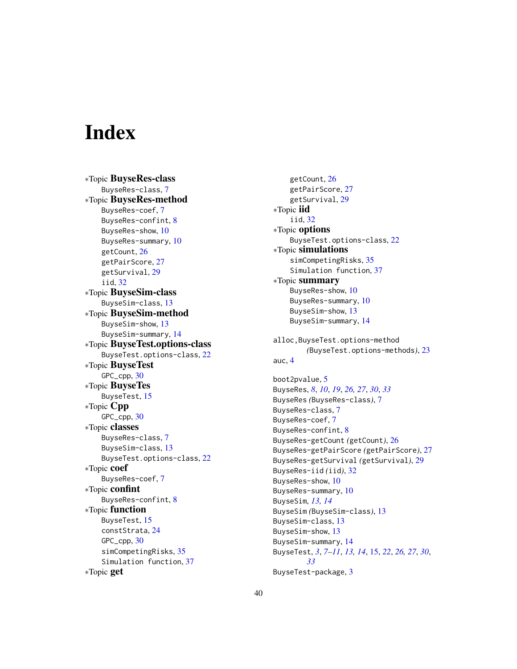# <span id="page-39-0"></span>**Index**

∗Topic BuyseRes-class BuyseRes-class, [7](#page-6-0) ∗Topic BuyseRes-method BuyseRes-coef, [7](#page-6-0) BuyseRes-confint, [8](#page-7-0) BuyseRes-show, [10](#page-9-0) BuyseRes-summary, [10](#page-9-0) getCount, [26](#page-25-0) getPairScore, [27](#page-26-0) getSurvival, [29](#page-28-0) iid, [32](#page-31-0) ∗Topic BuyseSim-class BuyseSim-class, [13](#page-12-0) ∗Topic BuyseSim-method BuyseSim-show, [13](#page-12-0) BuyseSim-summary, [14](#page-13-0) ∗Topic BuyseTest.options-class BuyseTest.options-class, [22](#page-21-0) ∗Topic BuyseTest GPC\_cpp, [30](#page-29-0) ∗Topic BuyseTes BuyseTest, [15](#page-14-0) ∗Topic Cpp GPC\_cpp, [30](#page-29-0) ∗Topic classes BuyseRes-class, [7](#page-6-0) BuyseSim-class, [13](#page-12-0) BuyseTest.options-class, [22](#page-21-0) ∗Topic coef BuyseRes-coef, [7](#page-6-0) ∗Topic confint BuyseRes-confint, [8](#page-7-0) ∗Topic function BuyseTest, [15](#page-14-0) constStrata, [24](#page-23-0) GPC\_cpp, [30](#page-29-0) simCompetingRisks, [35](#page-34-0) Simulation function, [37](#page-36-0) ∗Topic get

getCount, [26](#page-25-0) getPairScore, [27](#page-26-0) getSurvival, [29](#page-28-0) ∗Topic iid iid, [32](#page-31-0) ∗Topic options BuyseTest.options-class, [22](#page-21-0) ∗Topic simulations simCompetingRisks, [35](#page-34-0) Simulation function, [37](#page-36-0) ∗Topic summary BuyseRes-show, [10](#page-9-0) BuyseRes-summary, [10](#page-9-0) BuyseSim-show, [13](#page-12-0) BuyseSim-summary, [14](#page-13-0) alloc,BuyseTest.options-method *(*BuyseTest.options-methods*)*, [23](#page-22-0) auc, [4](#page-3-0) boot2pvalue, [5](#page-4-0) BuyseRes, *[8](#page-7-0)*, *[10](#page-9-0)*, *[19](#page-18-0)*, *[26,](#page-25-0) [27](#page-26-0)*, *[30](#page-29-0)*, *[33](#page-32-0)* BuyseRes *(*BuyseRes-class*)*, [7](#page-6-0) BuyseRes-class, [7](#page-6-0) BuyseRes-coef, [7](#page-6-0) BuyseRes-confint, [8](#page-7-0) BuyseRes-getCount *(*getCount*)*, [26](#page-25-0) BuyseRes-getPairScore *(*getPairScore*)*, [27](#page-26-0) BuyseRes-getSurvival *(*getSurvival*)*, [29](#page-28-0) BuyseRes-iid *(*iid*)*, [32](#page-31-0) BuyseRes-show, [10](#page-9-0) BuyseRes-summary, [10](#page-9-0) BuyseSim, *[13,](#page-12-0) [14](#page-13-0)* BuyseSim *(*BuyseSim-class*)*, [13](#page-12-0) BuyseSim-class, [13](#page-12-0) BuyseSim-show, [13](#page-12-0) BuyseSim-summary, [14](#page-13-0) BuyseTest, *[3](#page-2-0)*, *[7](#page-6-0)[–11](#page-10-0)*, *[13,](#page-12-0) [14](#page-13-0)*, [15,](#page-14-0) *[22](#page-21-0)*, *[26,](#page-25-0) [27](#page-26-0)*, *[30](#page-29-0)*, *[33](#page-32-0)*

BuyseTest-package, [3](#page-2-0)